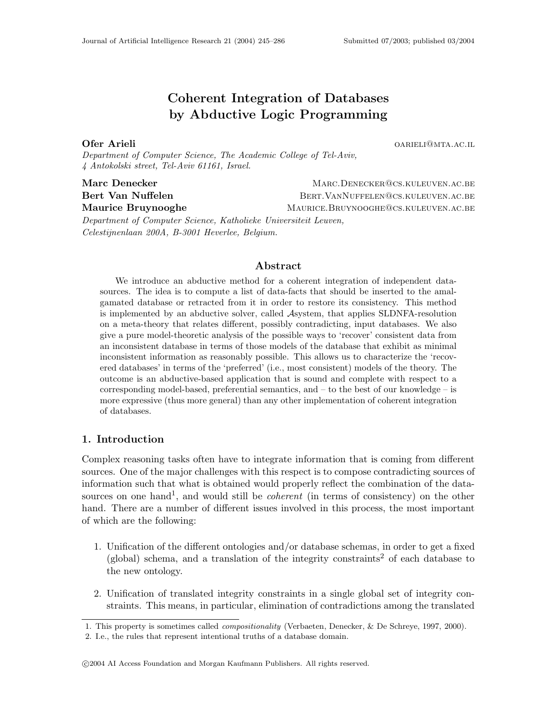# Coherent Integration of Databases by Abductive Logic Programming

Ofer Arieli and the contract of the contract of the contract of the contract of the contract of the contract of the contract of the contract of the contract of the contract of the contract of the contract of the contract o

Department of Computer Science, The Academic College of Tel-Aviv, 4 Antokolski street, Tel-Aviv 61161, Israel.

Marc Denecker MARC.DENECKER @CS.KULEUVEN.AC.BE Bert Van Nuffelen **BERT.VANNUFFELEN@CS.KULEUVEN.AC.BE** Maurice Bruynooghe MAURICE.BRUYNOOGHE@CS.KULEUVEN.AC.BE

Department of Computer Science, Katholieke Universiteit Leuven, Celestijnenlaan 200A, B-3001 Heverlee, Belgium.

# Abstract

We introduce an abductive method for a coherent integration of independent datasources. The idea is to compute a list of data-facts that should be inserted to the amalgamated database or retracted from it in order to restore its consistency. This method is implemented by an abductive solver, called Asystem, that applies SLDNFA-resolution on a meta-theory that relates different, possibly contradicting, input databases. We also give a pure model-theoretic analysis of the possible ways to 'recover' consistent data from an inconsistent database in terms of those models of the database that exhibit as minimal inconsistent information as reasonably possible. This allows us to characterize the 'recovered databases' in terms of the 'preferred' (i.e., most consistent) models of the theory. The outcome is an abductive-based application that is sound and complete with respect to a corresponding model-based, preferential semantics, and – to the best of our knowledge – is more expressive (thus more general) than any other implementation of coherent integration of databases.

# 1. Introduction

Complex reasoning tasks often have to integrate information that is coming from different sources. One of the major challenges with this respect is to compose contradicting sources of information such that what is obtained would properly reflect the combination of the datasources on one hand<sup>1</sup>, and would still be *coherent* (in terms of consistency) on the other hand. There are a number of different issues involved in this process, the most important of which are the following:

- 1. Unification of the different ontologies and/or database schemas, in order to get a fixed (global) schema, and a translation of the integrity constraints<sup>2</sup> of each database to the new ontology.
- 2. Unification of translated integrity constraints in a single global set of integrity constraints. This means, in particular, elimination of contradictions among the translated

<sup>1.</sup> This property is sometimes called compositionality (Verbaeten, Denecker, & De Schreye, 1997, 2000).

<sup>2.</sup> I.e., the rules that represent intentional truths of a database domain.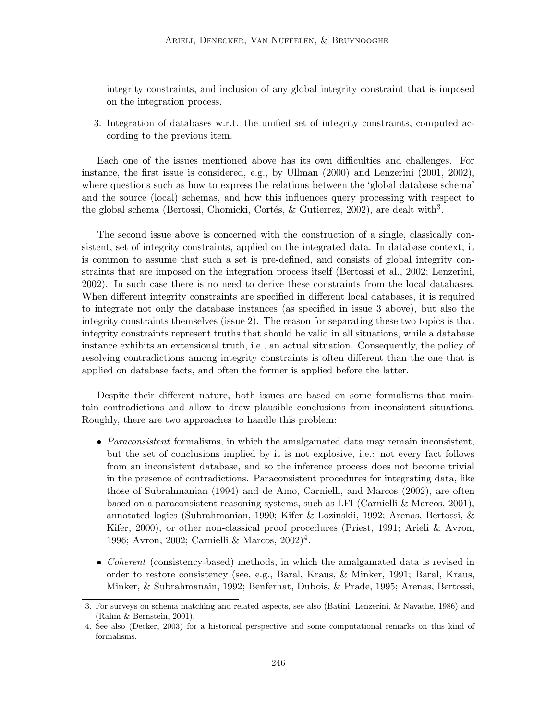integrity constraints, and inclusion of any global integrity constraint that is imposed on the integration process.

3. Integration of databases w.r.t. the unified set of integrity constraints, computed according to the previous item.

Each one of the issues mentioned above has its own difficulties and challenges. For instance, the first issue is considered, e.g., by Ullman (2000) and Lenzerini (2001, 2002), where questions such as how to express the relations between the 'global database schema' and the source (local) schemas, and how this influences query processing with respect to the global schema (Bertossi, Chomicki, Cortés, & Gutierrez, 2002), are dealt with<sup>3</sup>.

The second issue above is concerned with the construction of a single, classically consistent, set of integrity constraints, applied on the integrated data. In database context, it is common to assume that such a set is pre-defined, and consists of global integrity constraints that are imposed on the integration process itself (Bertossi et al., 2002; Lenzerini, 2002). In such case there is no need to derive these constraints from the local databases. When different integrity constraints are specified in different local databases, it is required to integrate not only the database instances (as specified in issue 3 above), but also the integrity constraints themselves (issue 2). The reason for separating these two topics is that integrity constraints represent truths that should be valid in all situations, while a database instance exhibits an extensional truth, i.e., an actual situation. Consequently, the policy of resolving contradictions among integrity constraints is often different than the one that is applied on database facts, and often the former is applied before the latter.

Despite their different nature, both issues are based on some formalisms that maintain contradictions and allow to draw plausible conclusions from inconsistent situations. Roughly, there are two approaches to handle this problem:

- Paraconsistent formalisms, in which the amalgamated data may remain inconsistent, but the set of conclusions implied by it is not explosive, i.e.: not every fact follows from an inconsistent database, and so the inference process does not become trivial in the presence of contradictions. Paraconsistent procedures for integrating data, like those of Subrahmanian (1994) and de Amo, Carnielli, and Marcos (2002), are often based on a paraconsistent reasoning systems, such as LFI (Carnielli & Marcos, 2001), annotated logics (Subrahmanian, 1990; Kifer & Lozinskii, 1992; Arenas, Bertossi, & Kifer, 2000), or other non-classical proof procedures (Priest, 1991; Arieli & Avron, 1996; Avron, 2002; Carnielli & Marcos, 2002)<sup>4</sup>.
- *Coherent* (consistency-based) methods, in which the amalgamated data is revised in order to restore consistency (see, e.g., Baral, Kraus, & Minker, 1991; Baral, Kraus, Minker, & Subrahmanain, 1992; Benferhat, Dubois, & Prade, 1995; Arenas, Bertossi,

<sup>3.</sup> For surveys on schema matching and related aspects, see also (Batini, Lenzerini, & Navathe, 1986) and (Rahm & Bernstein, 2001).

<sup>4.</sup> See also (Decker, 2003) for a historical perspective and some computational remarks on this kind of formalisms.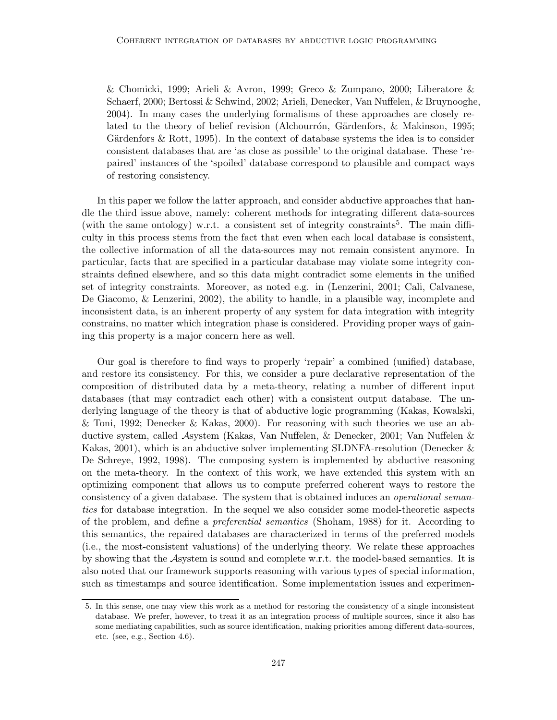& Chomicki, 1999; Arieli & Avron, 1999; Greco & Zumpano, 2000; Liberatore & Schaerf, 2000; Bertossi & Schwind, 2002; Arieli, Denecker, Van Nuffelen, & Bruynooghe, 2004). In many cases the underlying formalisms of these approaches are closely related to the theory of belief revision (Alchourrón, Gärdenfors,  $\&$  Makinson, 1995; Gärdenfors  $\&$  Rott, 1995). In the context of database systems the idea is to consider consistent databases that are 'as close as possible' to the original database. These 'repaired' instances of the 'spoiled' database correspond to plausible and compact ways of restoring consistency.

In this paper we follow the latter approach, and consider abductive approaches that handle the third issue above, namely: coherent methods for integrating different data-sources (with the same ontology) w.r.t. a consistent set of integrity constraints<sup>5</sup>. The main difficulty in this process stems from the fact that even when each local database is consistent, the collective information of all the data-sources may not remain consistent anymore. In particular, facts that are specified in a particular database may violate some integrity constraints defined elsewhere, and so this data might contradict some elements in the unified set of integrity constraints. Moreover, as noted e.g. in (Lenzerini, 2001; Cali, Calvanese, De Giacomo, & Lenzerini, 2002), the ability to handle, in a plausible way, incomplete and inconsistent data, is an inherent property of any system for data integration with integrity constrains, no matter which integration phase is considered. Providing proper ways of gaining this property is a major concern here as well.

Our goal is therefore to find ways to properly 'repair' a combined (unified) database, and restore its consistency. For this, we consider a pure declarative representation of the composition of distributed data by a meta-theory, relating a number of different input databases (that may contradict each other) with a consistent output database. The underlying language of the theory is that of abductive logic programming (Kakas, Kowalski, & Toni, 1992; Denecker & Kakas, 2000). For reasoning with such theories we use an abductive system, called Asystem (Kakas, Van Nuffelen, & Denecker, 2001; Van Nuffelen & Kakas, 2001), which is an abductive solver implementing SLDNFA-resolution (Denecker & De Schreye, 1992, 1998). The composing system is implemented by abductive reasoning on the meta-theory. In the context of this work, we have extended this system with an optimizing component that allows us to compute preferred coherent ways to restore the consistency of a given database. The system that is obtained induces an operational semantics for database integration. In the sequel we also consider some model-theoretic aspects of the problem, and define a preferential semantics (Shoham, 1988) for it. According to this semantics, the repaired databases are characterized in terms of the preferred models (i.e., the most-consistent valuations) of the underlying theory. We relate these approaches by showing that the Asystem is sound and complete w.r.t. the model-based semantics. It is also noted that our framework supports reasoning with various types of special information, such as timestamps and source identification. Some implementation issues and experimen-

<sup>5.</sup> In this sense, one may view this work as a method for restoring the consistency of a single inconsistent database. We prefer, however, to treat it as an integration process of multiple sources, since it also has some mediating capabilities, such as source identification, making priorities among different data-sources, etc. (see, e.g., Section 4.6).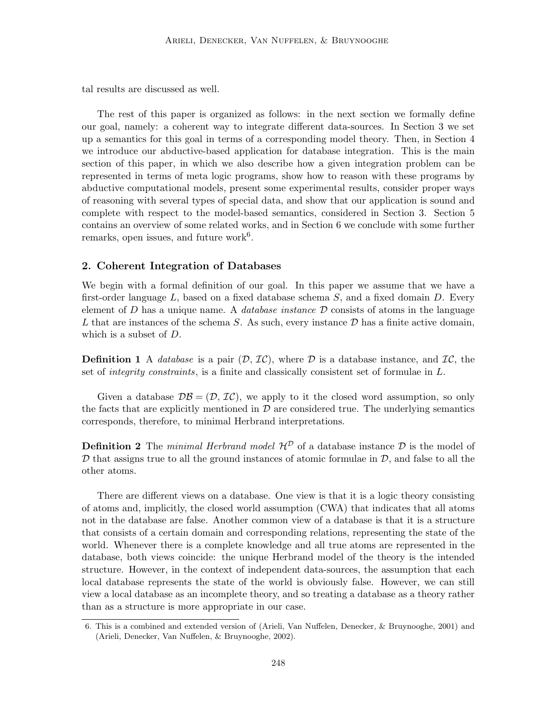tal results are discussed as well.

The rest of this paper is organized as follows: in the next section we formally define our goal, namely: a coherent way to integrate different data-sources. In Section 3 we set up a semantics for this goal in terms of a corresponding model theory. Then, in Section 4 we introduce our abductive-based application for database integration. This is the main section of this paper, in which we also describe how a given integration problem can be represented in terms of meta logic programs, show how to reason with these programs by abductive computational models, present some experimental results, consider proper ways of reasoning with several types of special data, and show that our application is sound and complete with respect to the model-based semantics, considered in Section 3. Section 5 contains an overview of some related works, and in Section 6 we conclude with some further remarks, open issues, and future work<sup>6</sup>.

# 2. Coherent Integration of Databases

We begin with a formal definition of our goal. In this paper we assume that we have a first-order language  $L$ , based on a fixed database schema  $S$ , and a fixed domain  $D$ . Every element of D has a unique name. A *database instance*  $\mathcal D$  consists of atoms in the language L that are instances of the schema S. As such, every instance  $\mathcal D$  has a finite active domain, which is a subset of D.

**Definition 1** A *database* is a pair  $(\mathcal{D}, \mathcal{IC})$ , where  $\mathcal D$  is a database instance, and  $\mathcal IC$ , the set of *integrity constraints*, is a finite and classically consistent set of formulae in L.

Given a database  $\mathcal{DB} = (\mathcal{D}, \mathcal{IC})$ , we apply to it the closed word assumption, so only the facts that are explicitly mentioned in  $\mathcal D$  are considered true. The underlying semantics corresponds, therefore, to minimal Herbrand interpretations.

**Definition 2** The minimal Herbrand model  $\mathcal{H}^{\mathcal{D}}$  of a database instance  $\mathcal{D}$  is the model of  $D$  that assigns true to all the ground instances of atomic formulae in  $D$ , and false to all the other atoms.

There are different views on a database. One view is that it is a logic theory consisting of atoms and, implicitly, the closed world assumption (CWA) that indicates that all atoms not in the database are false. Another common view of a database is that it is a structure that consists of a certain domain and corresponding relations, representing the state of the world. Whenever there is a complete knowledge and all true atoms are represented in the database, both views coincide: the unique Herbrand model of the theory is the intended structure. However, in the context of independent data-sources, the assumption that each local database represents the state of the world is obviously false. However, we can still view a local database as an incomplete theory, and so treating a database as a theory rather than as a structure is more appropriate in our case.

<sup>6.</sup> This is a combined and extended version of (Arieli, Van Nuffelen, Denecker, & Bruynooghe, 2001) and (Arieli, Denecker, Van Nuffelen, & Bruynooghe, 2002).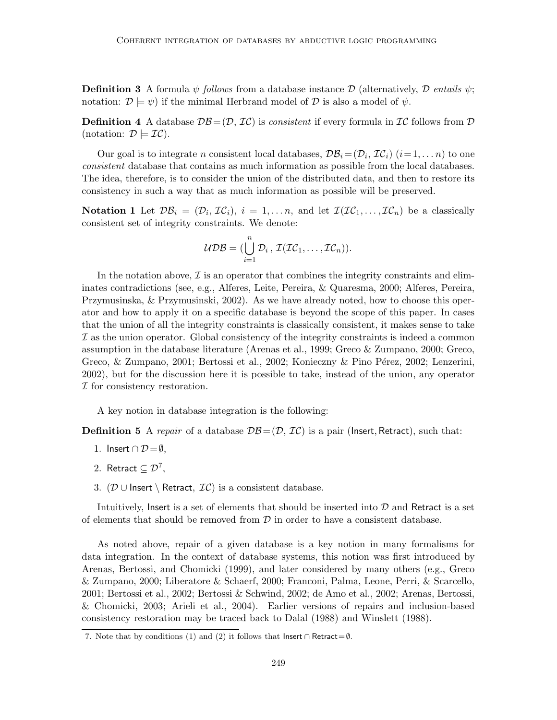**Definition 3** A formula  $\psi$  follows from a database instance D (alternatively, D entails  $\psi$ ; notation:  $\mathcal{D} \models \psi$  if the minimal Herbrand model of  $\mathcal{D}$  is also a model of  $\psi$ .

**Definition 4** A database  $\mathcal{DB} = (\mathcal{D}, \mathcal{IC})$  is consistent if every formula in  $\mathcal{IC}$  follows from  $\mathcal D$ (notation:  $\mathcal{D} \models \mathcal{IC}$ ).

Our goal is to integrate *n* consistent local databases,  $\mathcal{DB}_i = (\mathcal{D}_i, \mathcal{IC}_i)$   $(i = 1, \ldots n)$  to one consistent database that contains as much information as possible from the local databases. The idea, therefore, is to consider the union of the distributed data, and then to restore its consistency in such a way that as much information as possible will be preserved.

**Notation 1** Let  $\mathcal{DB}_i = (\mathcal{D}_i, \mathcal{IC}_i), i = 1, \ldots n$ , and let  $\mathcal{I}(\mathcal{IC}_1, \ldots, \mathcal{IC}_n)$  be a classically consistent set of integrity constraints. We denote:

$$
U\mathcal{DB} = (\bigcup_{i=1}^n \mathcal{D}_i, \mathcal{I}(\mathcal{IC}_1, \ldots, \mathcal{IC}_n)).
$$

In the notation above,  $\mathcal I$  is an operator that combines the integrity constraints and eliminates contradictions (see, e.g., Alferes, Leite, Pereira, & Quaresma, 2000; Alferes, Pereira, Przymusinska, & Przymusinski, 2002). As we have already noted, how to choose this operator and how to apply it on a specific database is beyond the scope of this paper. In cases that the union of all the integrity constraints is classically consistent, it makes sense to take  $I$  as the union operator. Global consistency of the integrity constraints is indeed a common assumption in the database literature (Arenas et al., 1999; Greco & Zumpano, 2000; Greco, Greco, & Zumpano, 2001; Bertossi et al., 2002; Konieczny & Pino Pérez, 2002; Lenzerini, 2002), but for the discussion here it is possible to take, instead of the union, any operator I for consistency restoration.

A key notion in database integration is the following:

**Definition 5** A repair of a database  $\mathcal{DB} = (\mathcal{D}, \mathcal{IC})$  is a pair (Insert, Retract), such that:

- 1. Insert ∩  $\mathcal{D} = \emptyset$ ,
- 2. Retract  $\subseteq \mathcal{D}^7$ ,
- 3. ( $D$ ∪ Insert \ Retract,  $\mathcal{IC}$ ) is a consistent database.

Intuitively, Insert is a set of elements that should be inserted into  $D$  and Retract is a set of elements that should be removed from  $\mathcal D$  in order to have a consistent database.

As noted above, repair of a given database is a key notion in many formalisms for data integration. In the context of database systems, this notion was first introduced by Arenas, Bertossi, and Chomicki (1999), and later considered by many others (e.g., Greco & Zumpano, 2000; Liberatore & Schaerf, 2000; Franconi, Palma, Leone, Perri, & Scarcello, 2001; Bertossi et al., 2002; Bertossi & Schwind, 2002; de Amo et al., 2002; Arenas, Bertossi, & Chomicki, 2003; Arieli et al., 2004). Earlier versions of repairs and inclusion-based consistency restoration may be traced back to Dalal (1988) and Winslett (1988).

<sup>7.</sup> Note that by conditions (1) and (2) it follows that Insert ∩ Retract= $\emptyset$ .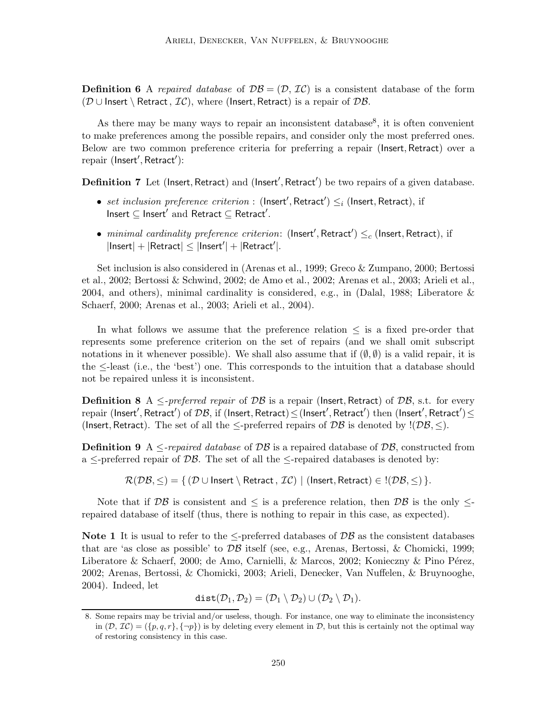**Definition 6** A repaired database of  $\mathcal{DB} = (\mathcal{D}, \mathcal{IC})$  is a consistent database of the form ( $D$  ∪ Insert \ Retract,  $IC$ ), where (Insert, Retract) is a repair of  $DB$ .

As there may be many ways to repair an inconsistent database<sup>8</sup>, it is often convenient to make preferences among the possible repairs, and consider only the most preferred ones. Below are two common preference criteria for preferring a repair (Insert, Retract) over a repair (Insert′ , Retract′ ):

Definition 7 Let (Insert, Retract) and (Insert', Retract') be two repairs of a given database.

- set inclusion preference criterion : (Insert', Retract')  $\leq_i$  (Insert, Retract), if  $\mathsf{Insert} \subseteq \mathsf{Insert}'$  and  $\mathsf{Retract} \subseteq \mathsf{Retract}'.$
- $minimal \; cardinality \; preference \; criterion: \; (Insert',<sub>Retract') \leq_c (Insert,Retract), \; if</sub>$ </sub>  $|\mathsf{Insert}| + |\mathsf{Retract}| \leq |\mathsf{Insert}'| + |\mathsf{Retract}'|.$

Set inclusion is also considered in (Arenas et al., 1999; Greco & Zumpano, 2000; Bertossi et al., 2002; Bertossi & Schwind, 2002; de Amo et al., 2002; Arenas et al., 2003; Arieli et al., 2004, and others), minimal cardinality is considered, e.g., in (Dalal, 1988; Liberatore & Schaerf, 2000; Arenas et al., 2003; Arieli et al., 2004).

In what follows we assume that the preference relation  $\leq$  is a fixed pre-order that represents some preference criterion on the set of repairs (and we shall omit subscript notations in it whenever possible). We shall also assume that if  $(\emptyset, \emptyset)$  is a valid repair, it is the ≤-least (i.e., the 'best') one. This corresponds to the intuition that a database should not be repaired unless it is inconsistent.

**Definition 8** A  $\le$ -preferred repair of DB is a repair (lnsert, Retract) of DB, s.t. for every  $\text{repair (Insert',Retract') of } \mathcal{DB}, \text{ if (Insert,Retract)} \leq (\text{Insert}',Retract') \text{ then (Insert}',Retract') \leq$ (Insert, Retract). The set of all the  $\leq$ -preferred repairs of  $\mathcal{DB}$  is denoted by !( $\mathcal{DB}, \leq$ ).

**Definition 9** A  $\leq$ -repaired database of DB is a repaired database of DB, constructed from a  $\le$ -preferred repair of DB. The set of all the  $\le$ -repaired databases is denoted by:

 $\mathcal{R}(\mathcal{DB}, \leq) = \{ (\mathcal{D} \cup \text{Insert} \setminus \text{Retract}, \mathcal{IC}) \mid (\text{Insert}, \text{Retract}) \in \{(\mathcal{DB}, \leq)\}.$ 

Note that if  $\mathcal{DB}$  is consistent and  $\leq$  is a preference relation, then  $\mathcal{DB}$  is the only  $\leq$ repaired database of itself (thus, there is nothing to repair in this case, as expected).

Note 1 It is usual to refer to the  $\leq$ -preferred databases of DB as the consistent databases that are 'as close as possible' to  $\mathcal{DB}$  itself (see, e.g., Arenas, Bertossi, & Chomicki, 1999; Liberatore & Schaerf, 2000; de Amo, Carnielli, & Marcos, 2002; Konieczny & Pino Pérez, 2002; Arenas, Bertossi, & Chomicki, 2003; Arieli, Denecker, Van Nuffelen, & Bruynooghe, 2004). Indeed, let

$$
\mathtt{dist}(\mathcal{D}_1,\mathcal{D}_2) = (\mathcal{D}_1 \setminus \mathcal{D}_2) \cup (\mathcal{D}_2 \setminus \mathcal{D}_1).
$$

<sup>8.</sup> Some repairs may be trivial and/or useless, though. For instance, one way to eliminate the inconsistency in  $(D, \mathcal{IC}) = (\{p, q, r\}, \{\neg p\})$  is by deleting every element in D, but this is certainly not the optimal way of restoring consistency in this case.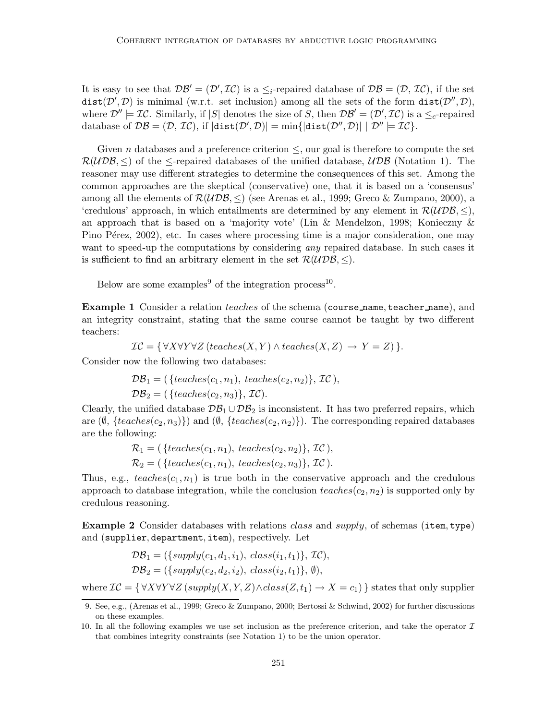It is easy to see that  $\mathcal{DB}' = (\mathcal{D}', \mathcal{IC})$  is a  $\leq_i$ -repaired database of  $\mathcal{DB} = (\mathcal{D}, \mathcal{IC})$ , if the set dist( $\mathcal{D}', \mathcal{D}$ ) is minimal (w.r.t. set inclusion) among all the sets of the form dist( $\mathcal{D}'', \mathcal{D}$ ), where  $\mathcal{D}'' \models \mathcal{IC}$ . Similarly, if |S| denotes the size of S, then  $\mathcal{DB}' = (\mathcal{D}', \mathcal{IC})$  is a  $\leq_c$ -repaired database of  $\mathcal{DB} = (\mathcal{D}, \mathcal{IC}),$  if  $|\text{dist}(\mathcal{D}', \mathcal{D})| = \min\{|\text{dist}(\mathcal{D}'', \mathcal{D})| \mid \mathcal{D}'' \models \mathcal{IC}\}.$ 

Given n databases and a preference criterion  $\leq$ , our goal is therefore to compute the set  $\mathcal{R}(U\mathcal{D}\mathcal{B}, \leq)$  of the  $\leq$ -repaired databases of the unified database,  $\mathcal{UDB}$  (Notation 1). The reasoner may use different strategies to determine the consequences of this set. Among the common approaches are the skeptical (conservative) one, that it is based on a 'consensus' among all the elements of  $\mathcal{R}(U\mathcal{DB}, \leq)$  (see Arenas et al., 1999; Greco & Zumpano, 2000), a 'credulous' approach, in which entailments are determined by any element in  $\mathcal{R}(U\mathcal{DB}, \leq)$ , an approach that is based on a 'majority vote' (Lin & Mendelzon, 1998; Konieczny & Pino Pérez, 2002), etc. In cases where processing time is a major consideration, one may want to speed-up the computations by considering *any* repaired database. In such cases it is sufficient to find an arbitrary element in the set  $\mathcal{R}(U\mathcal{DB}, \leq)$ .

Below are some examples<sup>9</sup> of the integration process<sup>10</sup>.

Example 1 Consider a relation *teaches* of the schema (course name, teacher name), and an integrity constraint, stating that the same course cannot be taught by two different teachers:

$$
\mathcal{IC} = \{ \forall X \forall Y \forall Z (teaches(X, Y) \land teaches(X, Z) \rightarrow Y = Z) \}.
$$

Consider now the following two databases:

$$
\mathcal{DB}_1 = (\{teaches(c_1, n_1), \,teaches(c_2, n_2)\}, \mathcal{IC}),
$$
  

$$
\mathcal{DB}_2 = (\{teaches(c_2, n_3)\}, \mathcal{IC}).
$$

Clearly, the unified database  $\mathcal{DB}_1 \cup \mathcal{DB}_2$  is inconsistent. It has two preferred repairs, which are  $(\emptyset, \{teaches(c_2, n_3)\})$  and  $(\emptyset, \{teaches(c_2, n_2)\})$ . The corresponding repaired databases are the following:

$$
\mathcal{R}_1 = (\{teaches(c_1, n_1), \,teaches(c_2, n_2)\}, \mathcal{IC}), \n\mathcal{R}_2 = (\{teaches(c_1, n_1), \,teaches(c_2, n_3)\}, \mathcal{IC}).
$$

Thus, e.g.,  $teaches(c_1,n_1)$  is true both in the conservative approach and the credulous approach to database integration, while the conclusion teaches( $c_2, n_2$ ) is supported only by credulous reasoning.

Example 2 Consider databases with relations class and supply, of schemas (item, type) and (supplier, department, item), respectively. Let

$$
\mathcal{DB}_1 = (\{ supply(c_1, d_1, i_1), class(i_1, t_1)\}, \mathcal{IC}),
$$
  

$$
\mathcal{DB}_2 = (\{ supply(c_2, d_2, i_2), class(i_2, t_1)\}, \emptyset),
$$

where  $\mathcal{IC} = \{ \forall X \forall Y \forall Z (supply(X, Y, Z) \land class(Z, t_1) \rightarrow X = c_1) \}$  states that only supplier

<sup>9.</sup> See, e.g., (Arenas et al., 1999; Greco & Zumpano, 2000; Bertossi & Schwind, 2002) for further discussions on these examples.

<sup>10.</sup> In all the following examples we use set inclusion as the preference criterion, and take the operator  $\mathcal I$ that combines integrity constraints (see Notation 1) to be the union operator.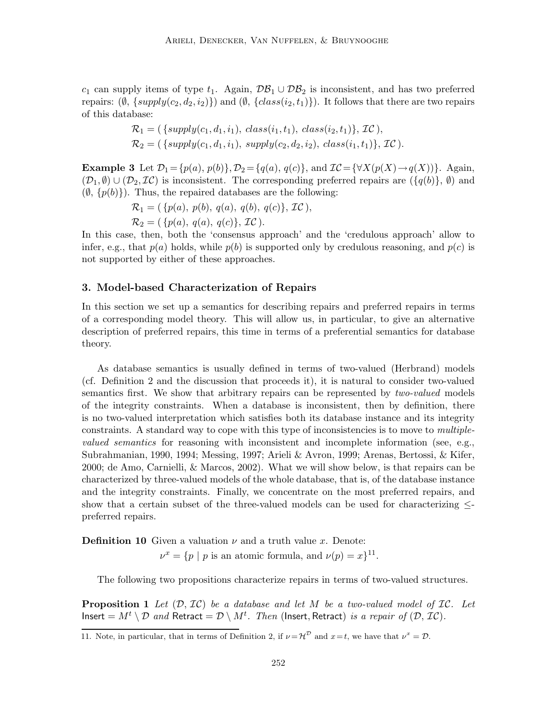c<sub>1</sub> can supply items of type  $t_1$ . Again,  $\mathcal{DB}_1 \cup \mathcal{DB}_2$  is inconsistent, and has two preferred repairs:  $(\emptyset, \{supply(c_2, d_2, i_2)\})$  and  $(\emptyset, \{class(i_2, t_1)\})$ . It follows that there are two repairs of this database:

$$
\mathcal{R}_1 = (\{ supply(c_1, d_1, i_1), \; class(i_1, t_1), \; class(i_2, t_1) \}, \mathcal{IC}),
$$
  

$$
\mathcal{R}_2 = (\{ supply(c_1, d_1, i_1), \; supply(c_2, d_2, i_2), \; class(i_1, t_1) \}, \mathcal{IC}).
$$

**Example 3** Let  $\mathcal{D}_1 = \{p(a), p(b)\}, \mathcal{D}_2 = \{q(a), q(c)\}, \text{ and } \mathcal{IC} = \{\forall X(p(X) \rightarrow q(X))\}.$  Again,  $(\mathcal{D}_1, \emptyset) \cup (\mathcal{D}_2, \mathcal{I})$  is inconsistent. The corresponding preferred repairs are  $(\{q(b)\}, \emptyset)$  and  $(\emptyset, \{p(b)\})$ . Thus, the repaired databases are the following:

$$
\mathcal{R}_1 = (\{p(a),\ p(b),\ q(a),\ q(b),\ q(c)\},\ \mathcal{IC}),
$$

$$
\mathcal{R}_2 = (\, \{p(a),\, q(a),\, q(c)\},\, \mathcal{IC}\,).
$$

In this case, then, both the 'consensus approach' and the 'credulous approach' allow to infer, e.g., that  $p(a)$  holds, while  $p(b)$  is supported only by credulous reasoning, and  $p(c)$  is not supported by either of these approaches.

# 3. Model-based Characterization of Repairs

In this section we set up a semantics for describing repairs and preferred repairs in terms of a corresponding model theory. This will allow us, in particular, to give an alternative description of preferred repairs, this time in terms of a preferential semantics for database theory.

As database semantics is usually defined in terms of two-valued (Herbrand) models (cf. Definition 2 and the discussion that proceeds it), it is natural to consider two-valued semantics first. We show that arbitrary repairs can be represented by *two-valued* models of the integrity constraints. When a database is inconsistent, then by definition, there is no two-valued interpretation which satisfies both its database instance and its integrity constraints. A standard way to cope with this type of inconsistencies is to move to *multiple*valued semantics for reasoning with inconsistent and incomplete information (see, e.g., Subrahmanian, 1990, 1994; Messing, 1997; Arieli & Avron, 1999; Arenas, Bertossi, & Kifer, 2000; de Amo, Carnielli, & Marcos, 2002). What we will show below, is that repairs can be characterized by three-valued models of the whole database, that is, of the database instance and the integrity constraints. Finally, we concentrate on the most preferred repairs, and show that a certain subset of the three-valued models can be used for characterizing  $\leq$ preferred repairs.

**Definition 10** Given a valuation  $\nu$  and a truth value x. Denote:  $\nu^x = \{p \mid p \text{ is an atomic formula, and } \nu(p) = x\}^{11}.$ 

The following two propositions characterize repairs in terms of two-valued structures.

**Proposition 1** Let  $(D, \mathcal{IC})$  be a database and let M be a two-valued model of  $IC$ . Let Insert  $=M^t\setminus \mathcal{D}$  and Retract  $=\mathcal{D}\setminus M^t$ . Then (Insert, Retract) is a repair of  $(\mathcal{D},\mathcal{IC})$ .

<sup>11.</sup> Note, in particular, that in terms of Definition 2, if  $\nu = H^D$  and  $x = t$ , we have that  $\nu^x = D$ .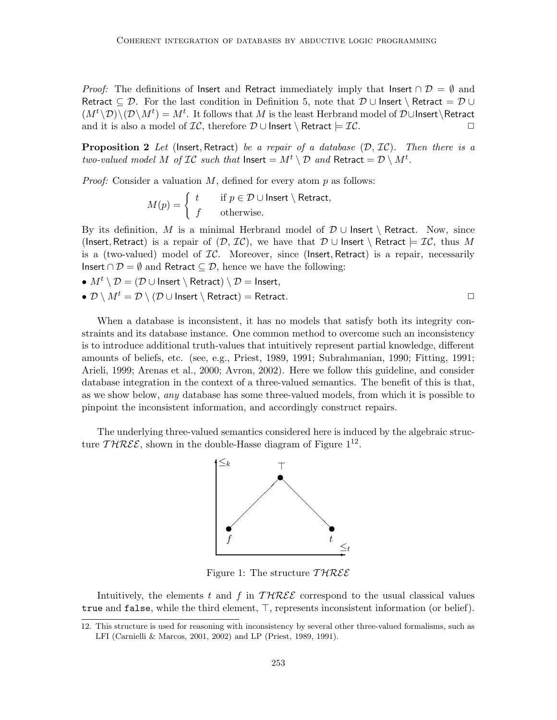*Proof:* The definitions of Insert and Retract immediately imply that Insert  $\cap \mathcal{D} = \emptyset$  and Retract  $\subseteq \mathcal{D}$ . For the last condition in Definition 5, note that  $\mathcal{D} \cup$  Insert \ Retract =  $\mathcal{D} \cup$  $(M^t\backslash \mathcal{D})\backslash (\mathcal{D}\backslash M^t) = M^t$ . It follows that M is the least Herbrand model of  $\mathcal{D}\cup$ Insert $\backslash$ Retract and it is also a model of  $\mathcal{IC}$ , therefore  $\mathcal{D} \cup$  Insert \ Retract  $\models \mathcal{IC}$ .

**Proposition 2** Let (Insert, Retract) be a repair of a database  $(\mathcal{D}, \mathcal{IC})$ . Then there is a two-valued model M of IC such that  $\mathsf{Insert} = M^t \setminus \mathcal{D}$  and  $\mathsf{Retract} = \mathcal{D} \setminus M^t$ .

*Proof:* Consider a valuation  $M$ , defined for every atom  $p$  as follows:

$$
M(p) = \begin{cases} t & \text{if } p \in \mathcal{D} \cup \text{Insert} \setminus \text{Retract,} \\ f & \text{otherwise.} \end{cases}
$$

By its definition, M is a minimal Herbrand model of  $\mathcal{D} \cup$  Insert \ Retract. Now, since (Insert, Retract) is a repair of  $(\mathcal{D}, \mathcal{IC})$ , we have that  $\mathcal{D} \cup$  Insert \ Retract  $\models \mathcal{IC}$ , thus M is a (two-valued) model of  $IC$ . Moreover, since (Insert, Retract) is a repair, necessarily **Insert** ∩  $\mathcal{D} = \emptyset$  and Retract ⊂  $\mathcal{D}$ , hence we have the following:

\n- \n
$$
M^t \setminus \mathcal{D} = (\mathcal{D} \cup \text{Insert} \setminus \text{Retract}) \setminus \mathcal{D} = \text{Insert},
$$
\n
\n- \n $\mathcal{D} \setminus M^t = \mathcal{D} \setminus (\mathcal{D} \cup \text{Insert} \setminus \text{Retract}) = \text{Retract}.$ \n
\n

When a database is inconsistent, it has no models that satisfy both its integrity constraints and its database instance. One common method to overcome such an inconsistency is to introduce additional truth-values that intuitively represent partial knowledge, different amounts of beliefs, etc. (see, e.g., Priest, 1989, 1991; Subrahmanian, 1990; Fitting, 1991; Arieli, 1999; Arenas et al., 2000; Avron, 2002). Here we follow this guideline, and consider database integration in the context of a three-valued semantics. The benefit of this is that, as we show below, any database has some three-valued models, from which it is possible to pinpoint the inconsistent information, and accordingly construct repairs.

The underlying three-valued semantics considered here is induced by the algebraic structure  $\mathcal{THREE}$ , shown in the double-Hasse diagram of Figure  $1^{12}$ .



Figure 1: The structure  $THREE$ 

Intuitively, the elements  $t$  and  $f$  in  $THREE$  correspond to the usual classical values true and false, while the third element, ⊤, represents inconsistent information (or belief).

<sup>12.</sup> This structure is used for reasoning with inconsistency by several other three-valued formalisms, such as LFI (Carnielli & Marcos, 2001, 2002) and LP (Priest, 1989, 1991).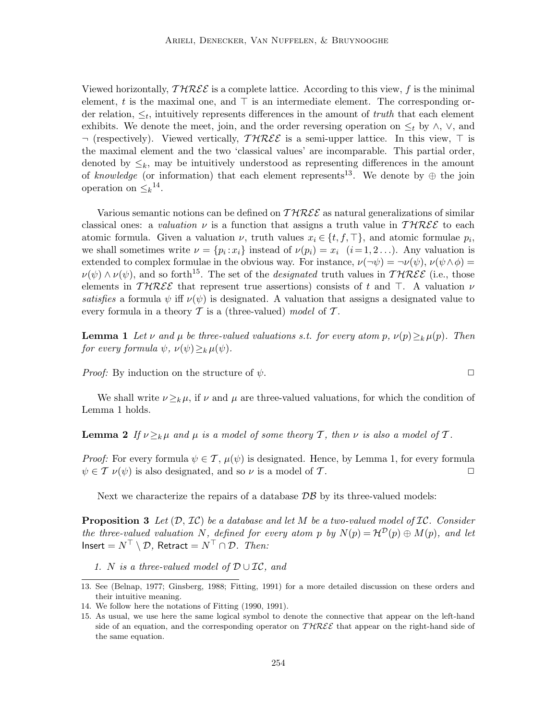Viewed horizontally,  $\mathcal{THREE}$  is a complete lattice. According to this view, f is the minimal element, t is the maximal one, and  $\top$  is an intermediate element. The corresponding order relation,  $\leq_t$ , intuitively represents differences in the amount of *truth* that each element exhibits. We denote the meet, join, and the order reversing operation on  $\leq_t$  by  $\wedge$ ,  $\vee$ , and  $\neg$  (respectively). Viewed vertically,  $\mathcal{THREE}$  is a semi-upper lattice. In this view,  $\top$  is the maximal element and the two 'classical values' are incomparable. This partial order, denoted by  $\leq_k$ , may be intuitively understood as representing differences in the amount of knowledge (or information) that each element represents<sup>13</sup>. We denote by  $\oplus$  the join operation on  $\leq k^{14}$ .

Various semantic notions can be defined on  $THREE$  as natural generalizations of similar classical ones: a valuation  $\nu$  is a function that assigns a truth value in THREE to each atomic formula. Given a valuation  $\nu$ , truth values  $x_i \in \{t, f, \top\}$ , and atomic formulae  $p_i$ , we shall sometimes write  $\nu = \{p_i : x_i\}$  instead of  $\nu(p_i) = x_i$   $(i = 1, 2, ...)$ . Any valuation is extended to complex formulae in the obvious way. For instance,  $\nu(\neg \psi) = \neg \nu(\psi)$ ,  $\nu(\psi \wedge \phi) =$  $\nu(\psi) \wedge \nu(\psi)$ , and so forth<sup>15</sup>. The set of the *designated* truth values in  $\mathcal{THREE}$  (i.e., those elements in THREE that represent true assertions) consists of t and ⊤. A valuation  $\nu$ satisfies a formula  $\psi$  iff  $\nu(\psi)$  is designated. A valuation that assigns a designated value to every formula in a theory  $\mathcal T$  is a (three-valued) model of  $\mathcal T$ .

**Lemma 1** Let  $\nu$  and  $\mu$  be three-valued valuations s.t. for every atom p,  $\nu(p) >_{k} \mu(p)$ . Then for every formula  $\psi, \nu(\psi) \geq_k \mu(\psi)$ .

*Proof:* By induction on the structure of  $\psi$ .

We shall write  $\nu \geq_k \mu$ , if  $\nu$  and  $\mu$  are three-valued valuations, for which the condition of Lemma 1 holds.

**Lemma 2** If  $\nu \geq_k \mu$  and  $\mu$  is a model of some theory T, then  $\nu$  is also a model of T.

*Proof:* For every formula  $\psi \in \mathcal{T}$ ,  $\mu(\psi)$  is designated. Hence, by Lemma 1, for every formula  $\psi \in \mathcal{T}$   $\nu(\psi)$  is also designated, and so  $\nu$  is a model of  $\mathcal{T}$ .

Next we characterize the repairs of a database  $\mathcal{DB}$  by its three-valued models:

**Proposition 3** Let  $(D, \mathcal{I})$  be a database and let M be a two-valued model of  $\mathcal{I}C$ . Consider the three-valued valuation N, defined for every atom p by  $N(p) = H^{\mathcal{D}}(p) \oplus M(p)$ , and let Insert =  $N^{\top} \setminus \mathcal{D}$ , Retract =  $N^{\top} \cap \mathcal{D}$ . Then:

1. N is a three-valued model of  $\mathcal{D} \cup \mathcal{IC}$ , and

<sup>13.</sup> See (Belnap, 1977; Ginsberg, 1988; Fitting, 1991) for a more detailed discussion on these orders and their intuitive meaning.

<sup>14.</sup> We follow here the notations of Fitting (1990, 1991).

<sup>15.</sup> As usual, we use here the same logical symbol to denote the connective that appear on the left-hand side of an equation, and the corresponding operator on  $THREE$  that appear on the right-hand side of the same equation.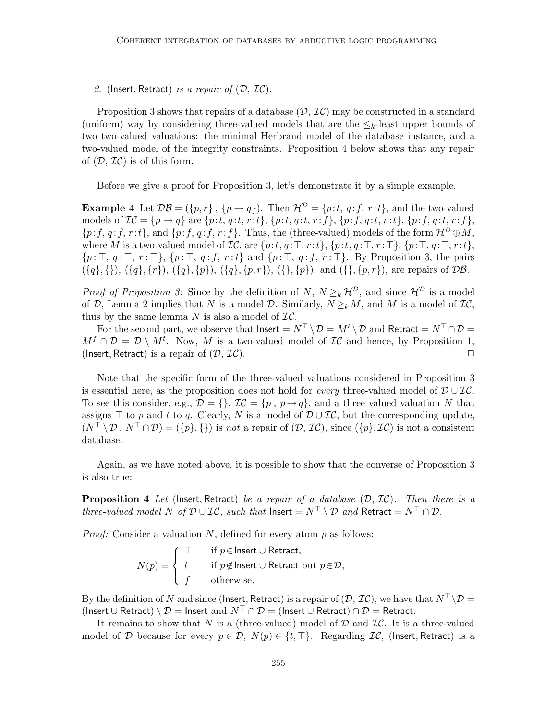# 2. (Insert, Retract) is a repair of  $(D, \mathcal{IC})$ .

Proposition 3 shows that repairs of a database  $(D, \mathcal{IC})$  may be constructed in a standard (uniform) way by considering three-valued models that are the  $\leq_k$ -least upper bounds of two two-valued valuations: the minimal Herbrand model of the database instance, and a two-valued model of the integrity constraints. Proposition 4 below shows that any repair of  $(D, \mathcal{IC})$  is of this form.

Before we give a proof for Proposition 3, let's demonstrate it by a simple example.

**Example 4** Let  $\mathcal{DB} = (\{p, r\}, \{p \rightarrow q\})$ . Then  $\mathcal{H}^D = \{p : t, q : f, r : t\}$ , and the two-valued models of  $\mathcal{IC} = \{p \rightarrow q\}$  are  $\{p:t, q:t, r:t\}$ ,  $\{p:t, q:t, r:f\}$ ,  $\{p:f, q:t, r:t\}$ ,  $\{p:f, q:t, r:f\}$ ,  $\{p:f, q:f, r:t\}$ , and  $\{p:f, q:f, r:f\}$ . Thus, the (three-valued) models of the form  $\mathcal{H}^{\mathcal{D}}\oplus M$ , where M is a two-valued model of  $\mathcal{IC}$ , are  $\{p:t, q: \top, r:t\}$ ,  $\{p:t, q: \top, r: \top\}$ ,  $\{p: \top, q: \top, r:t\}$ ,  $\{p:\top, q:\top, r:\top\}, \{p:\top, q:f, r:t\} \text{ and } \{p:\top, q:f, r:\top\}. \text{ By Proposition 3, the pairs }$  $({q}, {p}, {p})$ ,  $({q}, {r})$ ,  $({q}, {p})$ ,  $({q}, {p}, {p})$ ,  $({q}, {p}, {p})$ ,  $({p}, {p})$ , and  $({p}, {p}, {p})$ , are repairs of  $\mathcal{DB}$ .

*Proof of Proposition 3:* Since by the definition of N,  $N \geq_k \mathcal{H}^{\mathcal{D}}$ , and since  $\mathcal{H}^{\mathcal{D}}$  is a model of D, Lemma 2 implies that N is a model D. Similarly,  $N \geq_k M$ , and M is a model of  $IC$ , thus by the same lemma  $N$  is also a model of  $IC$ .

For the second part, we observe that  $\text{Insert} = N^{\top} \setminus \mathcal{D} = M^t \setminus \mathcal{D}$  and Retract  $= N^{\top} \cap \mathcal{D} =$  $M^f \cap \mathcal{D} = \mathcal{D} \setminus M^t$ . Now, M is a two-valued model of  $\mathcal{IC}$  and hence, by Proposition 1, (Insert, Retract) is a repair of  $(D, \mathcal{IC})$ .

Note that the specific form of the three-valued valuations considered in Proposition 3 is essential here, as the proposition does not hold for *every* three-valued model of  $\mathcal{D} \cup \mathcal{IC}$ . To see this consider, e.g.,  $\mathcal{D} = \{\}, \mathcal{IC} = \{p, p \rightarrow q\},\$ and a three valued valuation N that assigns  $\top$  to p and t to q. Clearly, N is a model of  $\mathcal{D} \cup \mathcal{IC}$ , but the corresponding update,  $(N^{\top} \setminus \mathcal{D}, N^{\top} \cap \mathcal{D}) = (\{p\}, \{\})$  is not a repair of  $(\mathcal{D}, \mathcal{IC}),$  since  $(\{p\}, \mathcal{IC})$  is not a consistent database.

Again, as we have noted above, it is possible to show that the converse of Proposition 3 is also true:

**Proposition 4** Let (Insert, Retract) be a repair of a database  $(D, \mathcal{IC})$ . Then there is a three-valued model N of  $D \cup \mathcal{IC}$ , such that  $\mathsf{Insert} = N^{\top} \setminus \mathcal{D}$  and  $\mathsf{Retract} = N^{\top} \cap \mathcal{D}$ .

*Proof:* Consider a valuation  $N$ , defined for every atom  $p$  as follows:

$$
N(p) = \begin{cases} \top & \text{if } p \in \text{Insert} \cup \text{Retract,} \\ t & \text{if } p \notin \text{Insert} \cup \text{Retract but } p \in \mathcal{D}, \\ f & \text{otherwise.} \end{cases}
$$

By the definition of N and since (Insert, Retract) is a repair of  $(D, \mathcal{IC})$ , we have that  $N^{\top} \backslash \mathcal{D} =$ (Insert ∪ Retract) \  $\mathcal{D} =$  Insert and  $N^{\top} \cap \mathcal{D} =$  (Insert ∪ Retract)  $\cap \mathcal{D} =$  Retract.

It remains to show that N is a (three-valued) model of  $D$  and  $IC$ . It is a three-valued model of D because for every  $p \in \mathcal{D}$ ,  $N(p) \in \{t, \top\}$ . Regarding  $\mathcal{IC}$ , (Insert, Retract) is a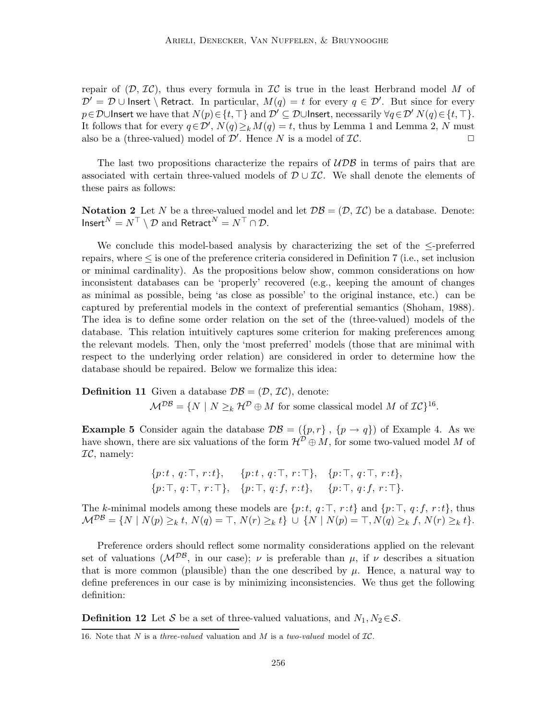repair of  $(D, \mathcal{IC})$ , thus every formula in  $\mathcal{IC}$  is true in the least Herbrand model M of  $\mathcal{D}' = \mathcal{D} \cup$  Insert \ Retract. In particular,  $M(q) = t$  for every  $q \in \mathcal{D}'$ . But since for every  $p \in \mathcal{D}$ ∪Insert we have that  $N(p) \in \{t, \top\}$  and  $\mathcal{D}' \subseteq \mathcal{D}$ ∪Insert, necessarily  $\forall q \in \mathcal{D}' N(q) \in \{t, \top\}$ . It follows that for every  $q \in \mathcal{D}'$ ,  $N(q) \geq_k M(q) = t$ , thus by Lemma 1 and Lemma 2, N must also be a (three-valued) model of  $\mathcal{D}'$ . Hence N is a model of  $\mathcal{IC}$ .

The last two propositions characterize the repairs of  $U\mathcal{D}\mathcal{B}$  in terms of pairs that are associated with certain three-valued models of  $\mathcal{D} \cup \mathcal{IC}$ . We shall denote the elements of these pairs as follows:

**Notation 2** Let N be a three-valued model and let  $\mathcal{DB} = (\mathcal{D}, \mathcal{IC})$  be a database. Denote: Insert<sup>N</sup> =  $N^{\top} \setminus \mathcal{D}$  and Retract<sup>N</sup> =  $N^{\top} \cap \mathcal{D}$ .

We conclude this model-based analysis by characterizing the set of the  $\leq$ -preferred repairs, where ≤ is one of the preference criteria considered in Definition 7 (i.e., set inclusion or minimal cardinality). As the propositions below show, common considerations on how inconsistent databases can be 'properly' recovered (e.g., keeping the amount of changes as minimal as possible, being 'as close as possible' to the original instance, etc.) can be captured by preferential models in the context of preferential semantics (Shoham, 1988). The idea is to define some order relation on the set of the (three-valued) models of the database. This relation intuitively captures some criterion for making preferences among the relevant models. Then, only the 'most preferred' models (those that are minimal with respect to the underlying order relation) are considered in order to determine how the database should be repaired. Below we formalize this idea:

**Definition 11** Given a database  $\mathcal{DB} = (\mathcal{D}, \mathcal{IC})$ , denote:  $\mathcal{M}^{DB} = \{ N \mid N \geq_k \mathcal{H}^D \oplus M \text{ for some classical model } M \text{ of } \mathcal{IC} \}^{16}.$ 

**Example 5** Consider again the database  $\mathcal{DB} = (\{p, r\}, \{p \rightarrow q\})$  of Example 4. As we have shown, there are six valuations of the form  $\mathcal{H}^{\mathcal{D}}\oplus M$ , for some two-valued model M of  $TC$ , namely:

$$
\{p:t, q: \top, r:t\}, \{p:t, q: \top, r: \top\}, \{p: \top, q: \top, r:t\},\
$$

$$
\{p: \top, q: \top, r: \top\}, \{p: \top, q: f, r:t\}, \{p: \top, q: f, r: \top\}.
$$

The k-minimal models among these models are  $\{p:t, q: \top, r:t\}$  and  $\{p: \top, q: f, r:t\}$ , thus  $\mathcal{M}^{DB} = \{ N \mid N(p) \geq_k t, N(q) = \top, N(r) \geq_k t \} \cup \{ N \mid N(p) = \top, N(q) \geq_k f, N(r) \geq_k t \}.$ 

Preference orders should reflect some normality considerations applied on the relevant set of valuations ( $\mathcal{M}^{DB}$ , in our case);  $\nu$  is preferable than  $\mu$ , if  $\nu$  describes a situation that is more common (plausible) than the one described by  $\mu$ . Hence, a natural way to define preferences in our case is by minimizing inconsistencies. We thus get the following definition:

**Definition 12** Let S be a set of three-valued valuations, and  $N_1, N_2 \in \mathcal{S}$ .

<sup>16.</sup> Note that N is a three-valued valuation and M is a two-valued model of  $IC$ .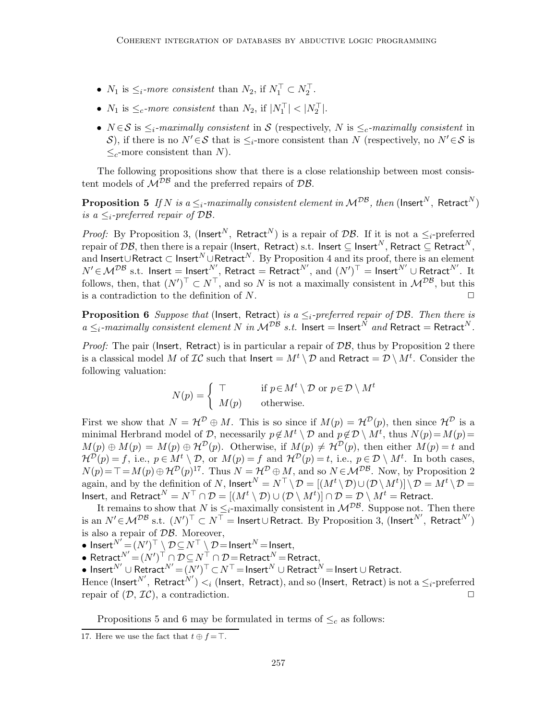- $N_1$  is  $\leq_i$ -more consistent than  $N_2$ , if  $N_1^\top \subset N_2^\top$ .
- $N_1$  is  $\leq_c$ -more consistent than  $N_2$ , if  $|N_1^{\top}| < |N_2^{\top}|$ .
- $N \in S$  is  $\leq_i$ -maximally consistent in S (respectively, N is  $\leq_c$ -maximally consistent in S), if there is no  $N' \in S$  that is  $\leq_i$ -more consistent than N (respectively, no  $N' \in S$  is  $\leq_c$ -more consistent than N).

The following propositions show that there is a close relationship between most consistent models of  $\mathcal{M}^{DB}$  and the preferred repairs of  $DB$ .

**Proposition 5** If N is a  $\leq_i$ -maximally consistent element in  $\mathcal{M}^{DB}$ , then (Insert<sup>N</sup>, Retract<sup>N</sup>) is a  $\leq_i$ -preferred repair of DB.

*Proof:* By Proposition 3, (lnsert<sup>N</sup>, Retract<sup>N</sup>) is a repair of  $\mathcal{DB}$ . If it is not a  $\leq_i$ -preferred repair of  $\mathcal{DB}$ , then there is a repair (Insert, Retract) s.t. Insert  $\subseteq$  Insert $^N$ , Retract  $\subseteq$  Retract $^N$ , and Insert∪Retract  $\subset$  Insert<sup>N</sup>∪Retract<sup>N</sup>. By Proposition 4 and its proof, there is an element  $N' \in \mathcal{M}^{\mathcal{DB}}$  s.t. Insert = Insert<sup>N'</sup>, Retract = Retract<sup>N'</sup>, and  $(N')^\top =$  Insert<sup>N'</sup>  $\cup$  Retract<sup>N'</sup>. It follows, then, that  $(N')^\top \subset N^\top$ , and so N is not a maximally consistent in  $\mathcal{M}^{DB}$ , but this is a contradiction to the definition of  $N$ .

**Proposition 6** Suppose that (Insert, Retract) is a  $\leq_i$ -preferred repair of DB. Then there is  $a \leq i$ -maximally consistent element N in  $\mathcal{M}^{DB}$  s.t. Insert = Insert<sup>N</sup> and Retract = Retract<sup>N</sup>.

*Proof:* The pair (Insert, Retract) is in particular a repair of  $DB$ , thus by Proposition 2 there is a classical model M of  $IC$  such that  $\mathsf{Insert} = M^t \setminus \mathcal{D}$  and  $\mathsf{Retract} = \mathcal{D} \setminus M^t$ . Consider the following valuation:

$$
N(p) = \begin{cases} \top & \text{if } p \in M^t \setminus \mathcal{D} \text{ or } p \in \mathcal{D} \setminus M^t \\ M(p) & \text{otherwise.} \end{cases}
$$

First we show that  $N = H^{\mathcal{D}} \oplus M$ . This is so since if  $M(p) = H^{\mathcal{D}}(p)$ , then since  $H^{\mathcal{D}}$  is a minimal Herbrand model of D, necessarily  $p \notin M^t \setminus \mathcal{D}$  and  $p \notin \mathcal{D} \setminus M^t$ , thus  $N(p) = M(p)$  $M(p) \oplus M(p) = M(p) \oplus H^{\mathcal{D}}(p)$ . Otherwise, if  $M(p) \neq H^{\mathcal{D}}(p)$ , then either  $M(p) = t$  and  $\mathcal{H}^{\mathcal{D}}(p) = f$ , i.e.,  $p \in M^t \setminus \mathcal{D}$ , or  $M(p) = f$  and  $\mathcal{H}^{\mathcal{D}}(p) = t$ , i.e.,  $p \in \mathcal{D} \setminus M^t$ . In both cases,  $N(p)$  =  $\top$  =  $M(p) \oplus H^{\mathcal{D}}(p)^{17}$ . Thus  $N = H^{\mathcal{D}} \oplus M$ , and so  $N \in \mathcal{M}^{\mathcal{DB}}$ . Now, by Proposition 2 again, and by the definition of N, Insert $^N = N^{\top} \setminus \mathcal{D} = [(M^t \setminus \mathcal{D}) \cup (\mathcal{D} \setminus M^t)] \setminus \mathcal{D} = M^t \setminus \mathcal{D} =$ Insert, and  $\mathsf{Retract}^N = N^\top \cap \mathcal{D} = [(M^t \setminus \mathcal{D}) \cup (\mathcal{D} \setminus M^t)] \cap \mathcal{D} = \mathcal{D} \setminus M^t = \mathsf{Retract}.$ 

It remains to show that N is  $\leq_i$ -maximally consistent in  $\mathcal{M}^{DB}$ . Suppose not. Then there is an  $N' \in \mathcal{M}^{\mathcal{DB}}$  s.t.  $(N')^\top \subset N^\top =$  Insert∪Retract. By Proposition 3, (Insert $^{N'}$ , Retract $^{N'}$ ) is also a repair of  $\mathcal{DB}$ . Moreover,

- Insert<sup>N'</sup> =  $(N')^{\top} \setminus \mathcal{D} \subseteq N^{\top} \setminus \mathcal{D} =$ Insert<sup>N</sup> = Insert,
- Retract $N' = (N')^\top \cap \overline{\mathcal{D}} \subseteq N^\top \cap \mathcal{D} =$ Retract $N =$ Retract,

• Insert $^{N'}$   $\cup$   $\operatorname{Retract}^{N'} = (N')^\top$   $\subset$   $N^\top$   $=$  Insert $^N$   $\cup$   $\operatorname{Retract}^{N}$   $=$  Insert  $\cup$   $\operatorname{Retract}.$ 

Hence (Insert $^{N'}$ , Retract $^{N'}$ )  $\lt_i$  (Insert, Retract), and so (Insert, Retract) is not a  $\leq_i$ -preferred repair of  $(D, \mathcal{IC})$ , a contradiction.

Propositions 5 and 6 may be formulated in terms of  $\leq_c$  as follows:

<sup>17.</sup> Here we use the fact that  $t \oplus f = \top$ .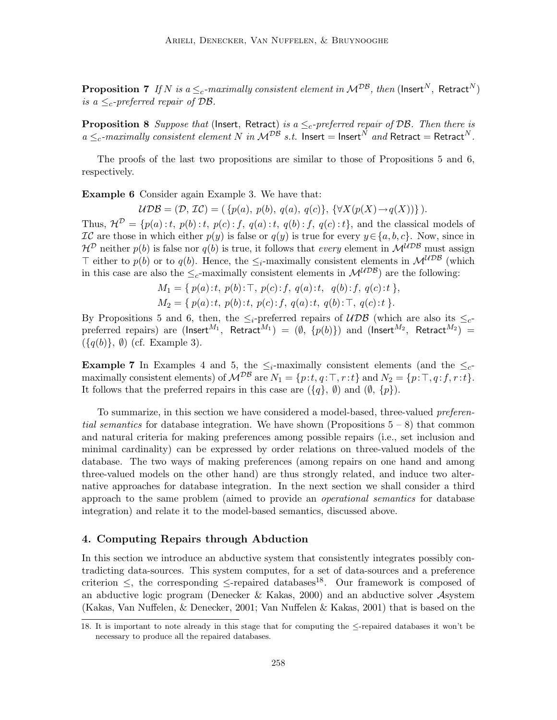**Proposition 7** If N is a  $\leq_c$ -maximally consistent element in  $\mathcal{M}^{DB}$ , then (Insert<sup>N</sup>, Retract<sup>N</sup>) is a  $\leq_c$ -preferred repair of DB.

**Proposition 8** Suppose that (Insert, Retract) is a  $\leq_c$ -preferred repair of DB. Then there is  $a \leq_c$ -maximally consistent element N in  $\mathcal{M}^{DB}$  s.t. Insert = Insert<sup>N</sup> and Retract = Retract<sup>N</sup>.

The proofs of the last two propositions are similar to those of Propositions 5 and 6, respectively.

Example 6 Consider again Example 3. We have that:

 $\mathcal{UDB} = (\mathcal{D}, \mathcal{IC}) = (\{p(a), p(b), q(a), q(c)\}, \{\forall X(p(X) \rightarrow q(X))\}).$ 

Thus,  $\mathcal{H}^{\mathcal{D}} = \{p(a): t, p(b): t, p(c): f, q(a): t, q(b): f, q(c): t\}$ , and the classical models of IC are those in which either  $p(y)$  is false or  $q(y)$  is true for every  $y \in \{a, b, c\}$ . Now, since in  $\mathcal{H}^{\mathcal{D}}$  neither  $p(b)$  is false nor  $q(b)$  is true, it follows that every element in  $\mathcal{M}^{\mathcal{UDB}}$  must assign ⊤ either to  $p(b)$  or to  $q(b)$ . Hence, the  $\leq_i$ -maximally consistent elements in  $\mathcal{M}^{UDB}$  (which in this case are also the  $\leq_c$ -maximally consistent elements in  $\mathcal{M}^{U\mathcal{D}\mathcal{B}}$  are the following:

$$
M_1 = \{ p(a): t, p(b): \top, p(c): f, q(a): t, q(b): f, q(c): t \},
$$
  
\n
$$
M_2 = \{ p(a): t, p(b): t, p(c): f, q(a): t, q(b): \top, q(c): t \}.
$$

By Propositions 5 and 6, then, the  $\leq_i$ -preferred repairs of  $\mathcal{UDB}$  (which are also its  $\leq_c$ preferred repairs) are (lnsert $^{M_1},$  Retract $^{M_1})$   $=$   $(\emptyset,$   $\{p(b)\})$  and (lnsert $^{M_2},$  Retract $^{M_2})$   $=$  $({q(b)}, \emptyset)$  (cf. Example 3).

**Example 7** In Examples 4 and 5, the  $\leq_i$ -maximally consistent elements (and the  $\leq_c$ maximally consistent elements) of  $\mathcal{M}^{DB}$  are  $N_1 = \{p:t, q: \top, r:t\}$  and  $N_2 = \{p: \top, q: f, r:t\}.$ It follows that the preferred repairs in this case are  $({q}, \emptyset)$  and  $(\emptyset, {p})$ .

To summarize, in this section we have considered a model-based, three-valued preferen*tial semantics* for database integration. We have shown (Propositions  $5 - 8$ ) that common and natural criteria for making preferences among possible repairs (i.e., set inclusion and minimal cardinality) can be expressed by order relations on three-valued models of the database. The two ways of making preferences (among repairs on one hand and among three-valued models on the other hand) are thus strongly related, and induce two alternative approaches for database integration. In the next section we shall consider a third approach to the same problem (aimed to provide an operational semantics for database integration) and relate it to the model-based semantics, discussed above.

# 4. Computing Repairs through Abduction

In this section we introduce an abductive system that consistently integrates possibly contradicting data-sources. This system computes, for a set of data-sources and a preference criterion  $\leq$ , the corresponding  $\leq$ -repaired databases<sup>18</sup>. Our framework is composed of an abductive logic program (Denecker & Kakas, 2000) and an abductive solver Asystem (Kakas, Van Nuffelen, & Denecker, 2001; Van Nuffelen & Kakas, 2001) that is based on the

<sup>18.</sup> It is important to note already in this stage that for computing the ≤-repaired databases it won't be necessary to produce all the repaired databases.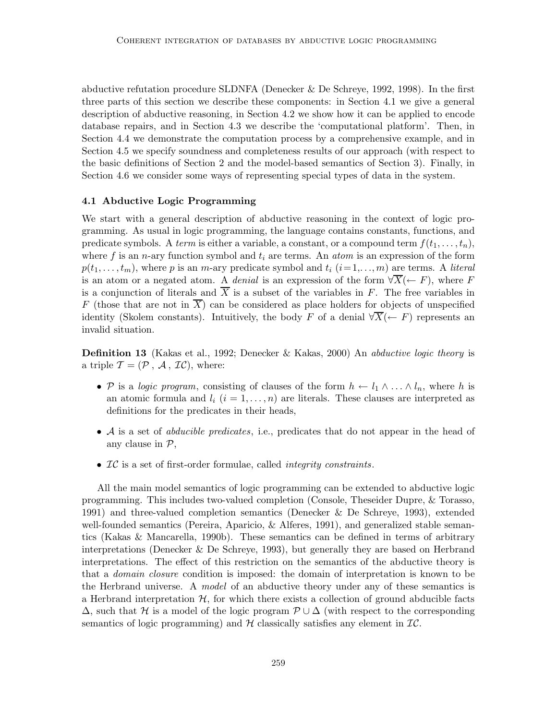abductive refutation procedure SLDNFA (Denecker & De Schreye, 1992, 1998). In the first three parts of this section we describe these components: in Section 4.1 we give a general description of abductive reasoning, in Section 4.2 we show how it can be applied to encode database repairs, and in Section 4.3 we describe the 'computational platform'. Then, in Section 4.4 we demonstrate the computation process by a comprehensive example, and in Section 4.5 we specify soundness and completeness results of our approach (with respect to the basic definitions of Section 2 and the model-based semantics of Section 3). Finally, in Section 4.6 we consider some ways of representing special types of data in the system.

#### 4.1 Abductive Logic Programming

We start with a general description of abductive reasoning in the context of logic programming. As usual in logic programming, the language contains constants, functions, and predicate symbols. A term is either a variable, a constant, or a compound term  $f(t_1,\ldots,t_n)$ , where f is an n-ary function symbol and  $t_i$  are terms. An *atom* is an expression of the form  $p(t_1,..., t_m)$ , where p is an m-ary predicate symbol and  $t_i$   $(i=1,..., m)$  are terms. A *literal* is an atom or a negated atom. A *denial* is an expression of the form  $\forall \overline{X}(\leftarrow F)$ , where F is a conjunction of literals and  $\overline{X}$  is a subset of the variables in F. The free variables in F (those that are not in  $\overline{X}$ ) can be considered as place holders for objects of unspecified identity (Skolem constants). Intuitively, the body F of a denial  $\forall \overline{X}(\leftarrow F)$  represents an invalid situation.

**Definition 13** (Kakas et al., 1992; Denecker & Kakas, 2000) An *abductive logic theory* is a triple  $\mathcal{T} = (\mathcal{P}, \mathcal{A}, \mathcal{IC})$ , where:

- P is a logic program, consisting of clauses of the form  $h \leftarrow l_1 \wedge \ldots \wedge l_n$ , where h is an atomic formula and  $l_i$   $(i = 1, \ldots, n)$  are literals. These clauses are interpreted as definitions for the predicates in their heads,
- A is a set of abducible predicates, i.e., predicates that do not appear in the head of any clause in  $P$ ,
- IC is a set of first-order formulae, called *integrity constraints*.

All the main model semantics of logic programming can be extended to abductive logic programming. This includes two-valued completion (Console, Theseider Dupre, & Torasso, 1991) and three-valued completion semantics (Denecker & De Schreye, 1993), extended well-founded semantics (Pereira, Aparicio, & Alferes, 1991), and generalized stable semantics (Kakas & Mancarella, 1990b). These semantics can be defined in terms of arbitrary interpretations (Denecker & De Schreye, 1993), but generally they are based on Herbrand interpretations. The effect of this restriction on the semantics of the abductive theory is that a domain closure condition is imposed: the domain of interpretation is known to be the Herbrand universe. A model of an abductive theory under any of these semantics is a Herbrand interpretation  $H$ , for which there exists a collection of ground abducible facts  $\Delta$ , such that H is a model of the logic program  $\mathcal{P} \cup \Delta$  (with respect to the corresponding semantics of logic programming) and  $H$  classically satisfies any element in  $IC$ .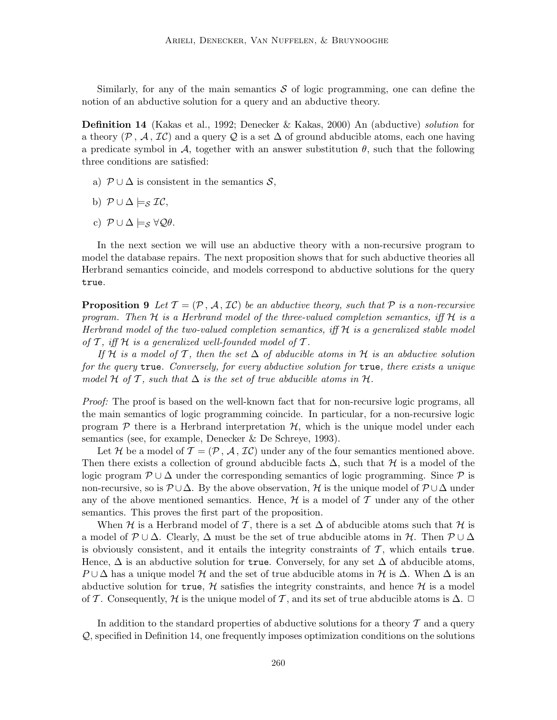Similarly, for any of the main semantics  $S$  of logic programming, one can define the notion of an abductive solution for a query and an abductive theory.

Definition 14 (Kakas et al., 1992; Denecker & Kakas, 2000) An (abductive) solution for a theory (P, A,  $\mathcal{IC}$ ) and a query Q is a set  $\Delta$  of ground abducible atoms, each one having a predicate symbol in  $\mathcal{A}$ , together with an answer substitution  $\theta$ , such that the following three conditions are satisfied:

- a)  $\mathcal{P} \cup \Delta$  is consistent in the semantics  $\mathcal{S},$
- b)  $\mathcal{P} \cup \Delta \models_{\mathcal{S}} \mathcal{I}\mathcal{C},$
- c)  $\mathcal{P} \cup \Delta \models_S \forall \mathcal{Q}\theta$ .

In the next section we will use an abductive theory with a non-recursive program to model the database repairs. The next proposition shows that for such abductive theories all Herbrand semantics coincide, and models correspond to abductive solutions for the query true.

**Proposition 9** Let  $\mathcal{T} = (\mathcal{P}, \mathcal{A}, \mathcal{I}\mathcal{C})$  be an abductive theory, such that  $\mathcal{P}$  is a non-recursive program. Then  $H$  is a Herbrand model of the three-valued completion semantics, iff  $H$  is a Herbrand model of the two-valued completion semantics, iff  $H$  is a generalized stable model of T, iff H is a generalized well-founded model of T.

If H is a model of T, then the set  $\Delta$  of abducible atoms in H is an abductive solution for the query true. Conversely, for every abductive solution for true, there exists a unique model H of T, such that  $\Delta$  is the set of true abducible atoms in H.

Proof: The proof is based on the well-known fact that for non-recursive logic programs, all the main semantics of logic programming coincide. In particular, for a non-recursive logic program  $\mathcal P$  there is a Herbrand interpretation  $\mathcal H$ , which is the unique model under each semantics (see, for example, Denecker & De Schreye, 1993).

Let H be a model of  $\mathcal{T} = (\mathcal{P}, \mathcal{A}, \mathcal{I}\mathcal{C})$  under any of the four semantics mentioned above. Then there exists a collection of ground abducible facts  $\Delta$ , such that  $\mathcal H$  is a model of the logic program  $\mathcal{P} \cup \Delta$  under the corresponding semantics of logic programming. Since  $\mathcal{P}$  is non-recursive, so is  $\mathcal{P}\cup\Delta$ . By the above observation, H is the unique model of  $\mathcal{P}\cup\Delta$  under any of the above mentioned semantics. Hence,  $H$  is a model of  $T$  under any of the other semantics. This proves the first part of the proposition.

When H is a Herbrand model of T, there is a set  $\Delta$  of abducible atoms such that H is a model of  $\mathcal{P} \cup \Delta$ . Clearly,  $\Delta$  must be the set of true abducible atoms in H. Then  $\mathcal{P} \cup \Delta$ is obviously consistent, and it entails the integrity constraints of  $\mathcal{T}$ , which entails true. Hence,  $\Delta$  is an abductive solution for true. Conversely, for any set  $\Delta$  of abducible atoms,  $P \cup \Delta$  has a unique model H and the set of true abducible atoms in H is  $\Delta$ . When  $\Delta$  is an abductive solution for true,  $H$  satisfies the integrity constraints, and hence  $H$  is a model of T. Consequently, H is the unique model of T, and its set of true abducible atoms is  $\Delta$ .  $\Box$ 

In addition to the standard properties of abductive solutions for a theory  $\mathcal T$  and a query Q, specified in Definition 14, one frequently imposes optimization conditions on the solutions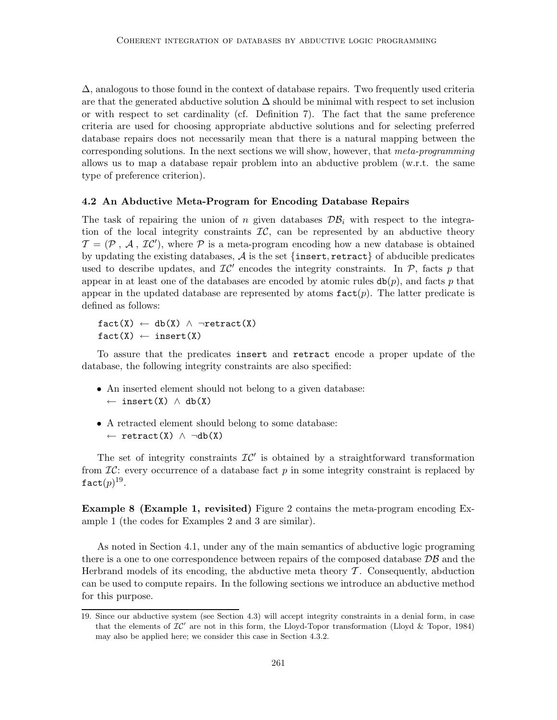∆, analogous to those found in the context of database repairs. Two frequently used criteria are that the generated abductive solution  $\Delta$  should be minimal with respect to set inclusion or with respect to set cardinality (cf. Definition 7). The fact that the same preference criteria are used for choosing appropriate abductive solutions and for selecting preferred database repairs does not necessarily mean that there is a natural mapping between the corresponding solutions. In the next sections we will show, however, that meta-programming allows us to map a database repair problem into an abductive problem (w.r.t. the same type of preference criterion).

#### 4.2 An Abductive Meta-Program for Encoding Database Repairs

The task of repairing the union of n given databases  $\mathcal{DB}_i$  with respect to the integration of the local integrity constraints  $\mathcal{IC}$ , can be represented by an abductive theory  $\mathcal{T} = (\mathcal{P}, \mathcal{A}, \mathcal{I}\mathcal{C}')$ , where  $\mathcal P$  is a meta-program encoding how a new database is obtained by updating the existing databases,  $\mathcal A$  is the set {insert, retract} of abducible predicates used to describe updates, and  $\mathcal{IC}'$  encodes the integrity constraints. In  $\mathcal{P}$ , facts p that appear in at least one of the databases are encoded by atomic rules  $db(p)$ , and facts p that appear in the updated database are represented by atoms  $\texttt{fact}(p)$ . The latter predicate is defined as follows:

 $fact(X) \leftarrow db(X) \wedge \neg retract(X)$  $fact(X) \leftarrow insert(X)$ 

To assure that the predicates insert and retract encode a proper update of the database, the following integrity constraints are also specified:

- An inserted element should not belong to a given database:  $\leftarrow$  insert(X)  $\wedge$  db(X)
- A retracted element should belong to some database: ← retract(X) ∧ ¬db(X)

The set of integrity constraints  $\mathcal{IC}'$  is obtained by a straightforward transformation from  $\mathcal{IC}$ : every occurrence of a database fact p in some integrity constraint is replaced by  $\mathtt{fact}(p)^{19}.$ 

Example 8 (Example 1, revisited) Figure 2 contains the meta-program encoding Example 1 (the codes for Examples 2 and 3 are similar).

As noted in Section 4.1, under any of the main semantics of abductive logic programing there is a one to one correspondence between repairs of the composed database  $\mathcal{DB}$  and the Herbrand models of its encoding, the abductive meta theory  $\mathcal T$ . Consequently, abduction can be used to compute repairs. In the following sections we introduce an abductive method for this purpose.

<sup>19.</sup> Since our abductive system (see Section 4.3) will accept integrity constraints in a denial form, in case that the elements of  $\mathcal{IC}'$  are not in this form, the Lloyd-Topor transformation (Lloyd & Topor, 1984) may also be applied here; we consider this case in Section 4.3.2.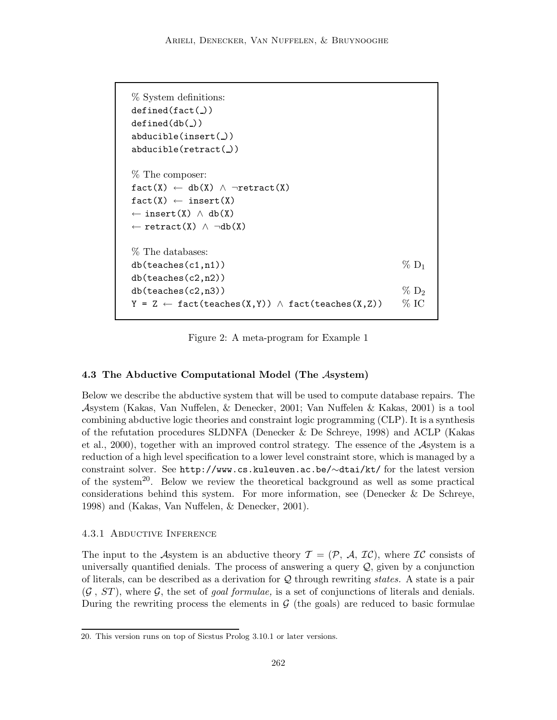```
% System definitions:
defined(fact()
defined(db()abducible(insert(_))
abducible(retract(_))
% The composer:
fact(X) \leftarrow db(X) \wedge \neg retract(X)fact(X) \leftarrow insert(X)\leftarrow insert(X) \wedge db(X)
← retract(X) ∧ ¬db(X)
% The databases:
db(\text{teaches}(c1,n1)) % D<sub>1</sub>
db(teaches(c2,n2))
db(teaches(c2,n3)) % D<sub>2</sub>
Y = Z \leftarrow fact(teaches(X,Y)) \wedge fact(teaches(X,Z)) % IC
```
Figure 2: A meta-program for Example 1

# 4.3 The Abductive Computational Model (The Asystem)

Below we describe the abductive system that will be used to compute database repairs. The Asystem (Kakas, Van Nuffelen, & Denecker, 2001; Van Nuffelen & Kakas, 2001) is a tool combining abductive logic theories and constraint logic programming (CLP). It is a synthesis of the refutation procedures SLDNFA (Denecker & De Schreye, 1998) and ACLP (Kakas et al., 2000), together with an improved control strategy. The essence of the Asystem is a reduction of a high level specification to a lower level constraint store, which is managed by a constraint solver. See http://www.cs.kuleuven.ac.be/∼dtai/kt/ for the latest version of the system<sup>20</sup>. Below we review the theoretical background as well as some practical considerations behind this system. For more information, see (Denecker & De Schreye, 1998) and (Kakas, Van Nuffelen, & Denecker, 2001).

# 4.3.1 Abductive Inference

The input to the Asystem is an abductive theory  $\mathcal{T} = (\mathcal{P}, \mathcal{A}, \mathcal{IC})$ , where  $\mathcal{IC}$  consists of universally quantified denials. The process of answering a query  $Q$ , given by a conjunction of literals, can be described as a derivation for  $Q$  through rewriting states. A state is a pair  $(G, ST)$ , where G, the set of *goal formulae*, is a set of conjunctions of literals and denials. During the rewriting process the elements in  $\mathcal G$  (the goals) are reduced to basic formulae

<sup>20.</sup> This version runs on top of Sicstus Prolog 3.10.1 or later versions.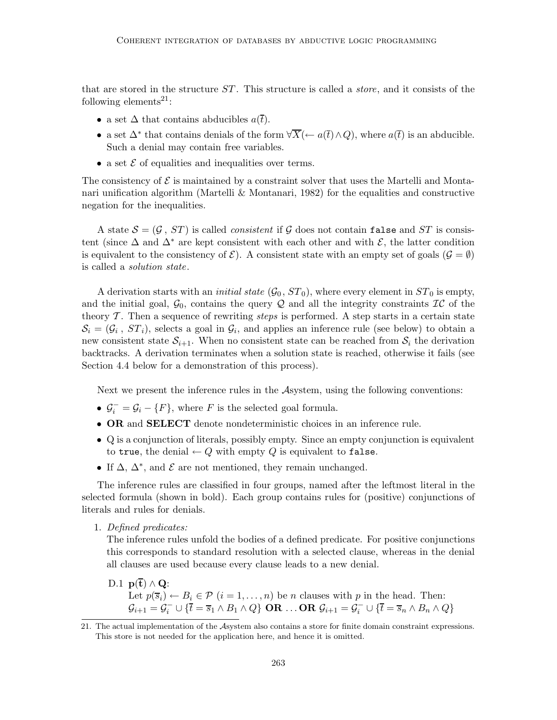that are stored in the structure  $ST$ . This structure is called a *store*, and it consists of the following elements<sup>21</sup>:

- a set  $\Delta$  that contains abducibles  $a(\bar{t})$ .
- a set  $\Delta^*$  that contains denials of the form  $\forall \overline{X}(\leftarrow a(\overline{t}) \land Q)$ , where  $a(\overline{t})$  is an abducible. Such a denial may contain free variables.
- a set  $\mathcal E$  of equalities and inequalities over terms.

The consistency of  $\mathcal E$  is maintained by a constraint solver that uses the Martelli and Montanari unification algorithm (Martelli & Montanari, 1982) for the equalities and constructive negation for the inequalities.

A state  $\mathcal{S} = (\mathcal{G}, ST)$  is called *consistent* if  $\mathcal{G}$  does not contain false and ST is consistent (since  $\Delta$  and  $\Delta^*$  are kept consistent with each other and with  $\mathcal{E}$ , the latter condition is equivalent to the consistency of  $\mathcal{E}$ ). A consistent state with an empty set of goals  $(\mathcal{G} = \emptyset)$ is called a solution state.

A derivation starts with an *initial state*  $(G_0, ST_0)$ , where every element in  $ST_0$  is empty, and the initial goal,  $\mathcal{G}_0$ , contains the query Q and all the integrity constraints  $\mathcal{IC}$  of the theory  $\mathcal T$ . Then a sequence of rewriting *steps* is performed. A step starts in a certain state  $S_i = (\mathcal{G}_i, ST_i)$ , selects a goal in  $\mathcal{G}_i$ , and applies an inference rule (see below) to obtain a new consistent state  $S_{i+1}$ . When no consistent state can be reached from  $S_i$  the derivation backtracks. A derivation terminates when a solution state is reached, otherwise it fails (see Section 4.4 below for a demonstration of this process).

Next we present the inference rules in the Asystem, using the following conventions:

- $\mathcal{G}_i^- = \mathcal{G}_i \{F\}$ , where F is the selected goal formula.
- OR and SELECT denote nondeterministic choices in an inference rule.
- Q is a conjunction of literals, possibly empty. Since an empty conjunction is equivalent to true, the denial  $\leftarrow Q$  with empty Q is equivalent to false.
- If  $\Delta$ ,  $\Delta^*$ , and  $\mathcal E$  are not mentioned, they remain unchanged.

The inference rules are classified in four groups, named after the leftmost literal in the selected formula (shown in bold). Each group contains rules for (positive) conjunctions of literals and rules for denials.

1. Defined predicates:

The inference rules unfold the bodies of a defined predicate. For positive conjunctions this corresponds to standard resolution with a selected clause, whereas in the denial all clauses are used because every clause leads to a new denial.

D.1  $\mathbf{p}(\overline{\mathbf{t}}) \wedge \mathbf{Q}$ : Let  $p(\overline{s_i}) \leftarrow B_i \in \mathcal{P}$   $(i = 1, ..., n)$  be *n* clauses with *p* in the head. Then:  $\mathcal{G}_{i+1} = \mathcal{G}_i^- \cup \{ \overline{t} = \overline{s}_1 \wedge B_1 \wedge Q \} \textbf{ OR } \ldots \textbf{ OR } \mathcal{G}_{i+1} = \mathcal{G}_i^- \cup \{ \overline{t} = \overline{s}_n \wedge B_n \wedge Q \}$ 

<sup>21.</sup> The actual implementation of the Asystem also contains a store for finite domain constraint expressions. This store is not needed for the application here, and hence it is omitted.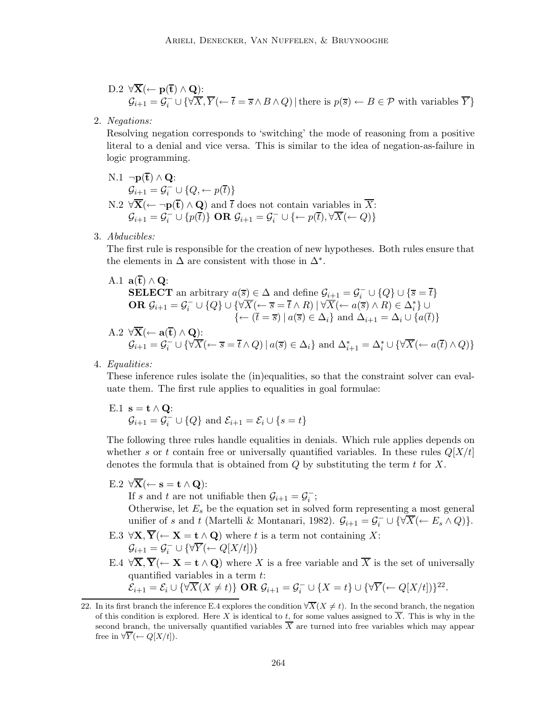D.2 
$$
\forall \overline{\mathbf{X}} (\leftarrow \mathbf{p}(\overline{\mathbf{t}}) \land \mathbf{Q})
$$
:  
\n
$$
\mathcal{G}_{i+1} = \mathcal{G}_i^- \cup \{ \forall \overline{X}, \overline{Y} (\leftarrow \overline{t} = \overline{s} \land B \land Q) | \text{there is } p(\overline{s}) \leftarrow B \in \mathcal{P} \text{ with variables } \overline{Y} \}
$$

2. Negations:

Resolving negation corresponds to 'switching' the mode of reasoning from a positive literal to a denial and vice versa. This is similar to the idea of negation-as-failure in logic programming.

- $N.1 \neg p(\overline{t}) \wedge Q$ :  $\mathcal{G}_{i+1} = \mathcal{G}_i^- \cup \{Q, \leftarrow p(\overline{t})\}$ N.2  $\forall \overline{\mathbf{X}}$  (  $\leftarrow \neg \mathbf{p}(\overline{\mathbf{t}}) \wedge \mathbf{Q}$ ) and  $\overline{t}$  does not contain variables in  $\overline{X}$ :  $\mathcal{G}_{i+1} = \mathcal{G}_i^- \cup \{p(\overline{t})\}$  OR  $\mathcal{G}_{i+1} = \mathcal{G}_i^- \cup \{\leftarrow p(\overline{t}), \forall \overline{X}(\leftarrow Q)\}$
- 3. Abducibles:

The first rule is responsible for the creation of new hypotheses. Both rules ensure that the elements in  $\Delta$  are consistent with those in  $\Delta^*$ .

A.1  $\mathbf{a}(\overline{\mathbf{t}}) \wedge \mathbf{Q}$ :

**SELECT** an arbitrary 
$$
a(\overline{s}) \in \Delta
$$
 and define  $\mathcal{G}_{i+1} = \mathcal{G}_i^- \cup \{Q\} \cup \{\overline{s} = \overline{t}\}$   
\n**OR**  $\mathcal{G}_{i+1} = \mathcal{G}_i^- \cup \{Q\} \cup \{\forall \overline{X} (\leftarrow \overline{s} = \overline{t} \land R) \mid \forall \overline{X} (\leftarrow a(\overline{s}) \land R) \in \Delta_i^* \} \cup \{\leftarrow (\overline{t} = \overline{s}) \mid a(\overline{s}) \in \Delta_i\}$  and  $\Delta_{i+1} = \Delta_i \cup \{a(\overline{t})\}$ 

A.2 
$$
\forall \overline{\mathbf{X}} (\leftarrow \mathbf{a}(\overline{\mathbf{t}}) \land \mathbf{Q})
$$
:  
\n
$$
\mathcal{G}_{i+1} = \mathcal{G}_i^- \cup \{ \forall \overline{X} (\leftarrow \overline{s} = \overline{t} \land Q) \mid a(\overline{s}) \in \Delta_i \} \text{ and } \Delta_{i+1}^* = \Delta_i^* \cup \{ \forall \overline{X} (\leftarrow a(\overline{t}) \land Q) \}
$$

4. Equalities:

These inference rules isolate the (in)equalities, so that the constraint solver can evaluate them. The first rule applies to equalities in goal formulae:

E.1 
$$
\mathbf{s} = \mathbf{t} \wedge \mathbf{Q}
$$
:  
\n $\mathcal{G}_{i+1} = \mathcal{G}_i^{-} \cup \{Q\}$  and  $\mathcal{E}_{i+1} = \mathcal{E}_i \cup \{s = t\}$ 

The following three rules handle equalities in denials. Which rule applies depends on whether s or t contain free or universally quantified variables. In these rules  $Q[X/t]$ denotes the formula that is obtained from  $Q$  by substituting the term  $t$  for  $X$ .

E.2  $\forall \mathbf{\overline{X}} (\leftarrow \mathbf{s} = \mathbf{t} \land \mathbf{Q})$ :

If s and t are not unifiable then  $\mathcal{G}_{i+1} = \mathcal{G}_i^-$ ;

Otherwise, let  $E_s$  be the equation set in solved form representing a most general unifier of s and t (Martelli & Montanari, 1982).  $\mathcal{G}_{i+1} = \mathcal{G}_i^- \cup {\forall \overline{X}} (\leftarrow E_s \land Q)$ .

- E.3  $\forall$ **X**,  $\overline{Y}$ ( $\leftarrow$  **X** = **t**  $\land$  **Q**) where t is a term not containing X:  $\mathcal{G}_{i+1} = \mathcal{G}_i^- \cup \{ \forall \overline{Y} (\leftarrow Q[X/t]) \}$
- E.4  $\forall \overline{X}, \overline{Y}$   $\leftarrow$   $X = t \wedge Q$ ) where X is a free variable and  $\overline{X}$  is the set of universally quantified variables in a term t:

$$
\mathcal{E}_{i+1} = \mathcal{E}_i \cup \{ \forall \overline{X}(X \neq t) \} \textbf{ OR } \mathcal{G}_{i+1} = \mathcal{G}_i^- \cup \{ X = t \} \cup \{ \forall \overline{Y}(\leftarrow Q[X/t]) \}^{22}.
$$

<sup>22.</sup> In its first branch the inference E.4 explores the condition  $\forall \overline{X}(X \neq t)$ . In the second branch, the negation of this condition is explored. Here X is identical to t, for some values assigned to  $\overline{X}$ . This is why in the second branch, the universally quantified variables  $\overline{X}$  are turned into free variables which may appear free in  $\forall \overline{Y}(\leftarrow Q[X/t]).$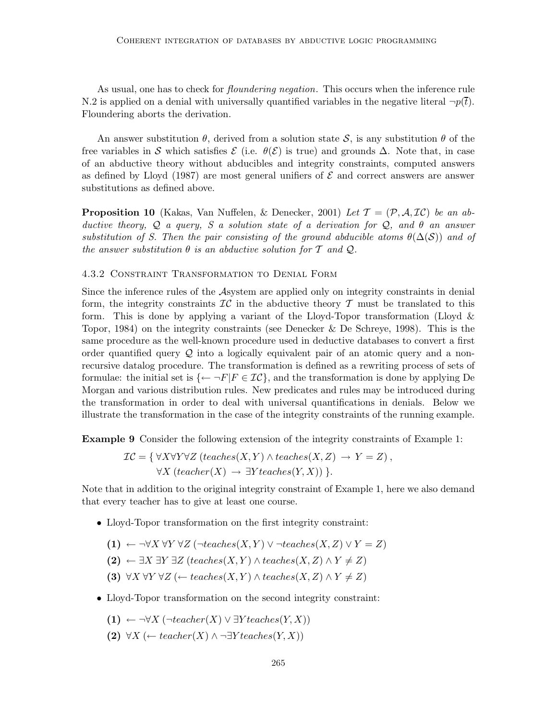As usual, one has to check for *floundering negation*. This occurs when the inference rule N.2 is applied on a denial with universally quantified variables in the negative literal  $\neg p(\bar{t})$ . Floundering aborts the derivation.

An answer substitution  $\theta$ , derived from a solution state  $\mathcal{S}$ , is any substitution  $\theta$  of the free variables in S which satisfies  $\mathcal{E}$  (i.e.  $\theta(\mathcal{E})$  is true) and grounds  $\Delta$ . Note that, in case of an abductive theory without abducibles and integrity constraints, computed answers as defined by Lloyd (1987) are most general unifiers of  $\mathcal E$  and correct answers are answer substitutions as defined above.

**Proposition 10** (Kakas, Van Nuffelen, & Denecker, 2001) Let  $\mathcal{T} = (\mathcal{P}, \mathcal{A}, \mathcal{I}\mathcal{C})$  be an abductive theory, Q a query, S a solution state of a derivation for Q, and  $\theta$  an answer substitution of S. Then the pair consisting of the ground abducible atoms  $\theta(\Delta(\mathcal{S}))$  and of the answer substitution  $\theta$  is an abductive solution for  $\mathcal T$  and  $\mathcal Q$ .

#### 4.3.2 Constraint Transformation to Denial Form

Since the inference rules of the Asystem are applied only on integrity constraints in denial form, the integrity constraints  $\mathcal{IC}$  in the abductive theory  $\mathcal T$  must be translated to this form. This is done by applying a variant of the Lloyd-Topor transformation (Lloyd & Topor, 1984) on the integrity constraints (see Denecker & De Schreye, 1998). This is the same procedure as the well-known procedure used in deductive databases to convert a first order quantified query Q into a logically equivalent pair of an atomic query and a nonrecursive datalog procedure. The transformation is defined as a rewriting process of sets of formulae: the initial set is  $\{\leftarrow \neg F | F \in \mathcal{IC}\}$ , and the transformation is done by applying De Morgan and various distribution rules. New predicates and rules may be introduced during the transformation in order to deal with universal quantifications in denials. Below we illustrate the transformation in the case of the integrity constraints of the running example.

Example 9 Consider the following extension of the integrity constraints of Example 1:

$$
\mathcal{IC} = \{ \forall X \forall Y \forall Z \ (teaches(X, Y) \land teaches(X, Z) \rightarrow Y = Z), \forall X \ (teacher(X) \rightarrow \exists Y teaches(Y, X)) \}.
$$

Note that in addition to the original integrity constraint of Example 1, here we also demand that every teacher has to give at least one course.

• Lloyd-Topor transformation on the first integrity constraint:

$$
(1) \leftarrow \neg \forall X \forall Y \forall Z (\neg teaches(X, Y) \lor \neg teaches(X, Z) \lor Y = Z)
$$
  

$$
(2) \leftarrow \exists X \exists Y \exists Z \ (teaches(X, Y) \land teaches(X, Z) \land Y \neq Z)
$$
  

$$
(3) \forall X \forall Y \forall Z (\leftarrow teaches(X, Y) \land teaches(X, Z) \land Y \neq Z)
$$

• Lloyd-Topor transformation on the second integrity constraint:

$$
(1) \leftarrow \neg \forall X (\neg teacher(X) \lor \exists Y teaches(Y, X))
$$

(2)  $\forall X (\leftarrow teacher(X) \land \neg \exists Y teaches(Y, X))$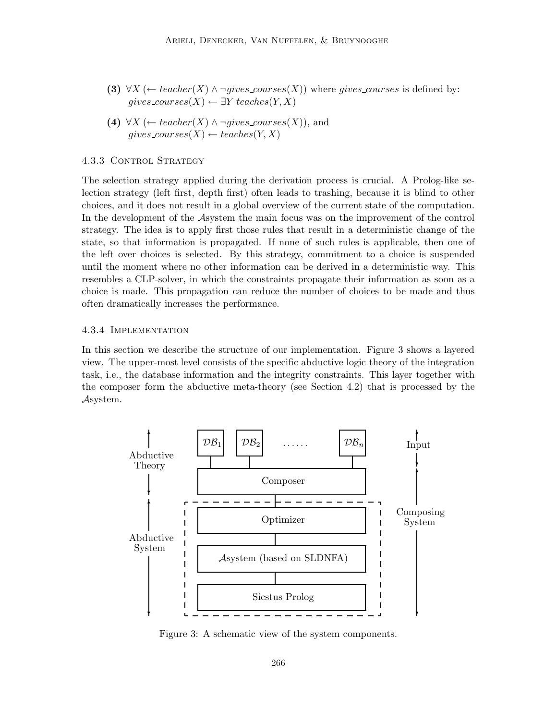- (3)  $\forall X (\leftarrow teacher(X) \land \neg gives\_course(X))$  where gives courses is defined by:  $\textit{gives}\_\textit{course}(X) \leftarrow \exists Y \textit{teaches}(Y, X)$
- (4)  $\forall X (\leftarrow \text{teacher}(X) \land \neg \text{gives}\_\text{course}(X)),$  and  $gives\_course(X) \leftarrow teaches(Y, X)$

# 4.3.3 CONTROL STRATEGY

The selection strategy applied during the derivation process is crucial. A Prolog-like selection strategy (left first, depth first) often leads to trashing, because it is blind to other choices, and it does not result in a global overview of the current state of the computation. In the development of the Asystem the main focus was on the improvement of the control strategy. The idea is to apply first those rules that result in a deterministic change of the state, so that information is propagated. If none of such rules is applicable, then one of the left over choices is selected. By this strategy, commitment to a choice is suspended until the moment where no other information can be derived in a deterministic way. This resembles a CLP-solver, in which the constraints propagate their information as soon as a choice is made. This propagation can reduce the number of choices to be made and thus often dramatically increases the performance.

#### 4.3.4 Implementation

In this section we describe the structure of our implementation. Figure 3 shows a layered view. The upper-most level consists of the specific abductive logic theory of the integration task, i.e., the database information and the integrity constraints. This layer together with the composer form the abductive meta-theory (see Section 4.2) that is processed by the Asystem.



Figure 3: A schematic view of the system components.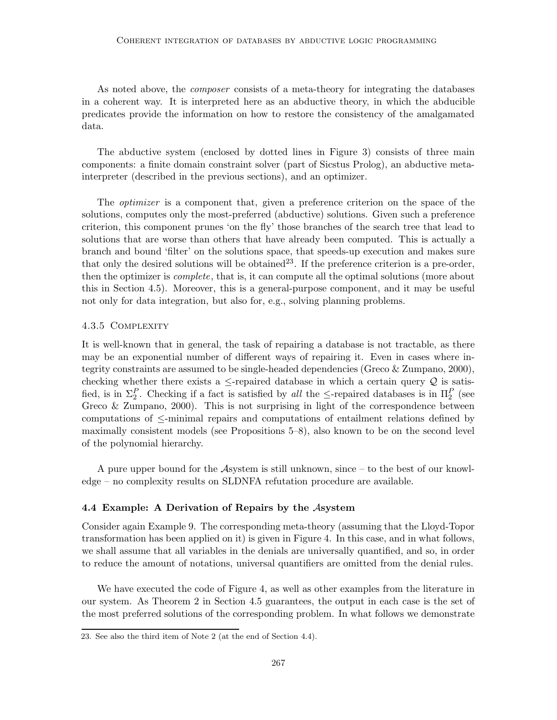As noted above, the composer consists of a meta-theory for integrating the databases in a coherent way. It is interpreted here as an abductive theory, in which the abducible predicates provide the information on how to restore the consistency of the amalgamated data.

The abductive system (enclosed by dotted lines in Figure 3) consists of three main components: a finite domain constraint solver (part of Sicstus Prolog), an abductive metainterpreter (described in the previous sections), and an optimizer.

The optimizer is a component that, given a preference criterion on the space of the solutions, computes only the most-preferred (abductive) solutions. Given such a preference criterion, this component prunes 'on the fly' those branches of the search tree that lead to solutions that are worse than others that have already been computed. This is actually a branch and bound 'filter' on the solutions space, that speeds-up execution and makes sure that only the desired solutions will be obtained<sup>23</sup>. If the preference criterion is a pre-order, then the optimizer is *complete*, that is, it can compute all the optimal solutions (more about this in Section 4.5). Moreover, this is a general-purpose component, and it may be useful not only for data integration, but also for, e.g., solving planning problems.

#### 4.3.5 Complexity

It is well-known that in general, the task of repairing a database is not tractable, as there may be an exponential number of different ways of repairing it. Even in cases where integrity constraints are assumed to be single-headed dependencies (Greco & Zumpano, 2000), checking whether there exists a  $\leq$ -repaired database in which a certain query Q is satisfied, is in  $\Sigma_2^P$ . Checking if a fact is satisfied by all the  $\leq$ -repaired databases is in  $\Pi_2^P$  (see Greco & Zumpano, 2000). This is not surprising in light of the correspondence between computations of ≤-minimal repairs and computations of entailment relations defined by maximally consistent models (see Propositions 5–8), also known to be on the second level of the polynomial hierarchy.

A pure upper bound for the Asystem is still unknown, since – to the best of our knowledge – no complexity results on SLDNFA refutation procedure are available.

# 4.4 Example: A Derivation of Repairs by the Asystem

Consider again Example 9. The corresponding meta-theory (assuming that the Lloyd-Topor transformation has been applied on it) is given in Figure 4. In this case, and in what follows, we shall assume that all variables in the denials are universally quantified, and so, in order to reduce the amount of notations, universal quantifiers are omitted from the denial rules.

We have executed the code of Figure 4, as well as other examples from the literature in our system. As Theorem 2 in Section 4.5 guarantees, the output in each case is the set of the most preferred solutions of the corresponding problem. In what follows we demonstrate

<sup>23.</sup> See also the third item of Note 2 (at the end of Section 4.4).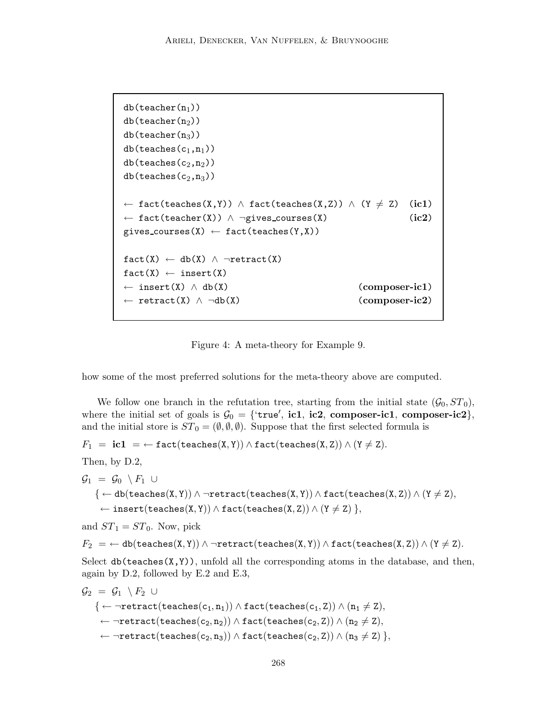```
db(teacher(n_1))db(teacher(n<sub>2</sub>))db(teacher(n<sub>3</sub>))db(teaches(c_1, n_1))db(teaches(c<sub>2</sub>,n<sub>2</sub>))db(teaches(c<sub>2</sub>,n<sub>3</sub>))← fact(teaches(X,Y)) \land fact(teaches(X,Z)) \land (Y \neq Z) (ic1)
← fact(teacher(X)) \land \neggives_courses(X) (ic2)
gives_courses(X) \leftarrow fact(teaches(Y,X))
fact(X) \leftarrow db(X) \wedge \neg retract(X)fact(X) \leftarrow insert(X)← insert(X) \land db(X) (composer-ic1)
← retract(X) \land \neg \text{db}(X) (composer-ic2)
```
Figure 4: A meta-theory for Example 9.

how some of the most preferred solutions for the meta-theory above are computed.

We follow one branch in the refutation tree, starting from the initial state  $(\mathcal{G}_0, ST_0)$ , where the initial set of goals is  $\mathcal{G}_0 = \{$ 'true', ic1, ic2, composer-ic1, composer-ic2 $\},$ and the initial store is  $ST_0 = (\emptyset, \emptyset, \emptyset)$ . Suppose that the first selected formula is

 $F_1$  = ic $\textbf{1}$  =  $\leftarrow$  fact(teaches(X, Y))  $\land$  fact(teaches(X, Z))  $\land$  (Y  $\neq$  Z).

Then, by D.2,

 $\mathcal{G}_1 = \mathcal{G}_0 \setminus F_1 \cup$  ${\bf x} \leftarrow db(teaches(X, Y)) \wedge \neg \mathtt{retract(teaches}(X, Y)) \wedge fact(teaches(X, Z)) \wedge (Y \neq Z),$ ← insert(teaches(X, Y))  $\land$  fact(teaches(X, Z))  $\land$  (Y  $\neq$  Z)  $\},$ 

and  $ST_1 = ST_0$ . Now, pick

 $F_2 \; = \; \leftarrow \texttt{db}(\texttt{teaches}(X,Y)) \land \neg \texttt{retract}(\texttt{teaches}(X,Y)) \land \texttt{fact}(\texttt{teaches}(X,Z)) \land (Y \neq Z).$ 

Select  $db$ (teaches( $X, Y$ ), unfold all the corresponding atoms in the database, and then, again by D.2, followed by E.2 and E.3,

$$
\begin{aligned} \mathcal{G}_2 \; &= \; \mathcal{G}_1 \; \setminus F_2 \; \cup \\ \{ \; \leftarrow \; \neg \texttt{retract}(\texttt{teaches}(c_1, n_1)) \land \texttt{fact}(\texttt{teaches}(c_1, Z)) \land (n_1 \neq Z), \\ \; &\leftarrow \; \neg \texttt{retract}(\texttt{teaches}(c_2, n_2)) \land \texttt{fact}(\texttt{teaches}(c_2, Z)) \land (n_2 \neq Z), \\ \; &\leftarrow \; \neg \texttt{retract}(\texttt{teaches}(c_2, n_3)) \land \texttt{fact}(\texttt{teaches}(c_2, Z)) \land (n_3 \neq Z) \, \}, \end{aligned}
$$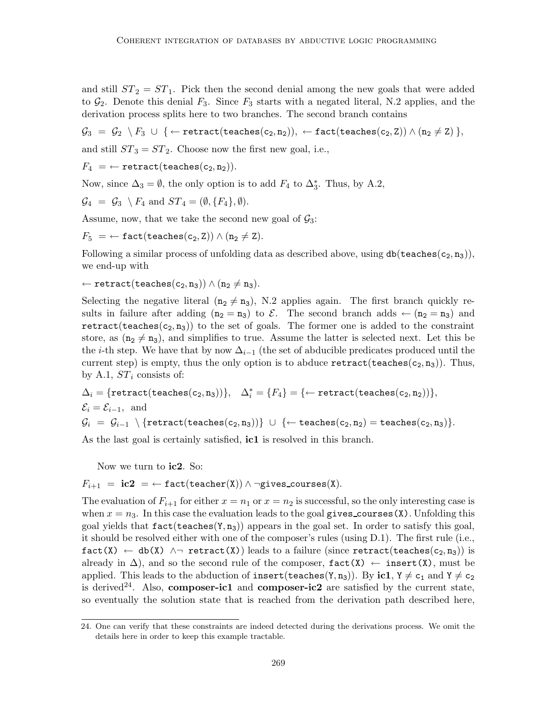and still  $ST_2 = ST_1$ . Pick then the second denial among the new goals that were added to  $\mathcal{G}_2$ . Denote this denial  $F_3$ . Since  $F_3$  starts with a negated literal, N.2 applies, and the derivation process splits here to two branches. The second branch contains

 $\mathcal{G}_3 = \mathcal{G}_2 \setminus F_3 \cup \{ \leftarrow \texttt{retract}(\texttt{teaches}(c_2, n_2)), \leftarrow \texttt{fact}(\texttt{teaches}(c_2, Z)) \wedge (n_2 \neq Z) \},$ 

and still  $ST_3 = ST_2$ . Choose now the first new goal, i.e.,

 $F_4 = \leftarrow$  retract(teaches(c<sub>2</sub>, n<sub>2</sub>)).

Now, since  $\Delta_3 = \emptyset$ , the only option is to add  $F_4$  to  $\Delta_3^*$ . Thus, by A.2,

$$
\mathcal{G}_4 = \mathcal{G}_3 \setminus F_4 \text{ and } ST_4 = (\emptyset, \{F_4\}, \emptyset).
$$

Assume, now, that we take the second new goal of  $\mathcal{G}_3$ :

$$
F_5 = \leftarrow \texttt{fact}(\texttt{teaches}(c_2, Z)) \land (n_2 \neq Z).
$$

Following a similar process of unfolding data as described above, using  $db(\text{teaches}(c_2, n_3)),$ we end-up with

← retract(teaches(c<sub>2</sub>, n<sub>3</sub>)) ∧ (n<sub>2</sub>  $\neq$  n<sub>3</sub>).

Selecting the negative literal  $(n_2 \neq n_3)$ , N.2 applies again. The first branch quickly results in failure after adding  $(n_2 = n_3)$  to  $\mathcal{E}$ . The second branch adds  $\leftarrow (n_2 = n_3)$  and retract(teaches( $c_2, n_3$ )) to the set of goals. The former one is added to the constraint store, as  $(n_2 \neq n_3)$ , and simplifies to true. Assume the latter is selected next. Let this be the *i*-th step. We have that by now  $\Delta_{i-1}$  (the set of abducible predicates produced until the current step) is empty, thus the only option is to abduce  $\text{retract}(\text{teaches}(c_2, n_3))$ . Thus, by A.1,  $ST_i$  consists of:

$$
\Delta_i = {\texttt{retract}(\texttt{teaches}(c_2, n_3))}, \quad \Delta_i^* = \{F_4\} = \{\leftarrow \texttt{retract}(\texttt{teaches}(c_2, n_2))\},
$$
\n
$$
\mathcal{E}_i = \mathcal{E}_{i-1}, \text{ and}
$$

$$
\mathcal{G}_i = \mathcal{G}_{i-1} \setminus {\texttt{retract}(\texttt{teaches}(c_2, n_3))} \cup \{\leftarrow \texttt{teaches}(c_2, n_2) = \texttt{teaches}(c_2, n_3)\}.
$$

As the last goal is certainly satisfied, **ic1** is resolved in this branch.

Now we turn to ic2. So:

$$
F_{i+1} ~=~ \mathbf{ic2} ~=~ \leftarrow \mathtt{fact}(\mathtt{teacher(X)}) \land \neg \mathtt{gives\_course(X)}.
$$

The evaluation of  $F_{i+1}$  for either  $x = n_1$  or  $x = n_2$  is successful, so the only interesting case is when  $x = n_3$ . In this case the evaluation leads to the goal gives courses (X). Unfolding this goal yields that  $fact(teaches(Y, n_3))$  appears in the goal set. In order to satisfy this goal, it should be resolved either with one of the composer's rules (using D.1). The first rule (i.e.,  $fact(X) \leftarrow db(X) \land \neg$  retract(X)) leads to a failure (since retract(teaches(c<sub>2</sub>, n<sub>3</sub>)) is already in  $\Delta$ ), and so the second rule of the composer,  $fact(X) \leftarrow insert(X)$ , must be applied. This leads to the abduction of insert (teaches  $(Y, n_3)$ ). By ic1,  $Y \neq c_1$  and  $Y \neq c_2$ is derived<sup>24</sup>. Also, **composer-ic1** and **composer-ic2** are satisfied by the current state, so eventually the solution state that is reached from the derivation path described here,

<sup>24.</sup> One can verify that these constraints are indeed detected during the derivations process. We omit the details here in order to keep this example tractable.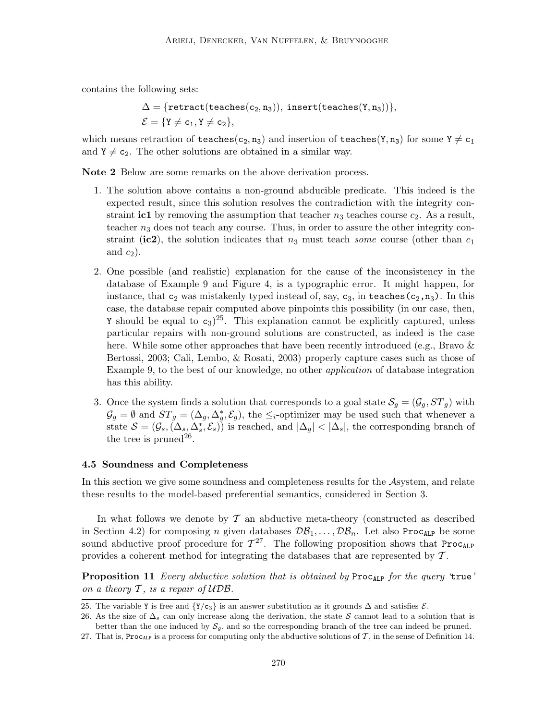contains the following sets:

$$
\Delta = {\tt fretract(teaches(c_2, n_3)),\; insert(teaches(Y, n_3))},\\ \mathcal{E} = \{Y \neq c_1, Y \neq c_2\},
$$

which means retraction of teaches( $c_2$ ,  $n_3$ ) and insertion of teaches( $Y$ ,  $n_3$ ) for some  $Y \neq c_1$ and  $Y \neq c_2$ . The other solutions are obtained in a similar way.

Note 2 Below are some remarks on the above derivation process.

- 1. The solution above contains a non-ground abducible predicate. This indeed is the expected result, since this solution resolves the contradiction with the integrity constraint ic1 by removing the assumption that teacher  $n_3$  teaches course  $c_2$ . As a result, teacher  $n_3$  does not teach any course. Thus, in order to assure the other integrity constraint (ic2), the solution indicates that  $n_3$  must teach some course (other than  $c_1$ and  $c_2$ ).
- 2. One possible (and realistic) explanation for the cause of the inconsistency in the database of Example 9 and Figure 4, is a typographic error. It might happen, for instance, that  $c_2$  was mistakenly typed instead of, say,  $c_3$ , in teaches  $(c_2, n_3)$ . In this case, the database repair computed above pinpoints this possibility (in our case, then, Y should be equal to  $c_3$ <sup>25</sup>. This explanation cannot be explicitly captured, unless particular repairs with non-ground solutions are constructed, as indeed is the case here. While some other approaches that have been recently introduced (e.g., Bravo  $\&$ Bertossi, 2003; Cali, Lembo, & Rosati, 2003) properly capture cases such as those of Example 9, to the best of our knowledge, no other application of database integration has this ability.
- 3. Once the system finds a solution that corresponds to a goal state  $S_g = (\mathcal{G}_g, ST_g)$  with  $\mathcal{G}_g = \emptyset$  and  $ST_g = (\Delta_g, \Delta_g^*, \mathcal{E}_g)$ , the  $\leq_i$ -optimizer may be used such that whenever a state  $S = (\mathcal{G}_s, (\Delta_s, \Delta_s^*, \mathcal{E}_s))$  is reached, and  $|\Delta_g| < |\Delta_s|$ , the corresponding branch of the tree is pruned<sup>26</sup>.

#### 4.5 Soundness and Completeness

In this section we give some soundness and completeness results for the Asystem, and relate these results to the model-based preferential semantics, considered in Section 3.

In what follows we denote by  $\mathcal T$  an abductive meta-theory (constructed as described in Section 4.2) for composing n given databases  $\mathcal{DB}_1,\ldots,\mathcal{DB}_n$ . Let also Proc<sub>ALP</sub> be some sound abductive proof procedure for  $\mathcal{T}^{27}$ . The following proposition shows that Proc<sub>ALP</sub> provides a coherent method for integrating the databases that are represented by  $T$ .

**Proposition 11** Every abductive solution that is obtained by Proc<sub>ALP</sub> for the query 'true' on a theory  $\mathcal T$ , is a repair of  $\mathcal{UDB}$ .

<sup>25.</sup> The variable Y is free and  $\{Y/c_3\}$  is an answer substitution as it grounds  $\Delta$  and satisfies  $\mathcal{E}$ .

<sup>26.</sup> As the size of  $\Delta_s$  can only increase along the derivation, the state S cannot lead to a solution that is better than the one induced by  $\mathcal{S}_q$ , and so the corresponding branch of the tree can indeed be pruned.

<sup>27.</sup> That is, Proc<sub>ALP</sub> is a process for computing only the abductive solutions of T, in the sense of Definition 14.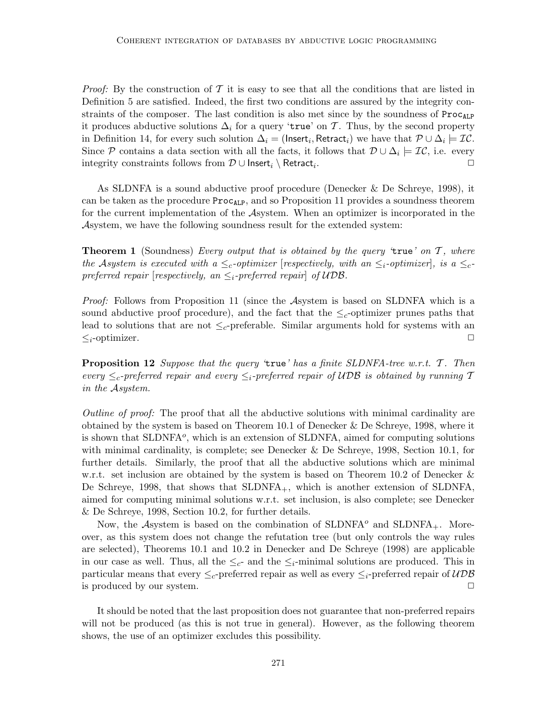*Proof:* By the construction of  $\mathcal T$  it is easy to see that all the conditions that are listed in Definition 5 are satisfied. Indeed, the first two conditions are assured by the integrity constraints of the composer. The last condition is also met since by the soundness of  $Proc_{ALP}$ it produces abductive solutions  $\Delta_i$  for a query 'true' on T. Thus, by the second property in Definition 14, for every such solution  $\Delta_i = ($ **Insert**<sub>i</sub>, Retract<sub>i</sub>) we have that  $\mathcal{P} \cup \Delta_i \models \mathcal{IC}.$ Since P contains a data section with all the facts, it follows that  $\mathcal{D} \cup \Delta_i \models \mathcal{IC}$ , i.e. every integrity constraints follows from  $\mathcal{D} \cup$  Insert<sub>i</sub> \ Retract<sub>i</sub>. . The contract of  $\Box$ 

As SLDNFA is a sound abductive proof procedure (Denecker & De Schreye, 1998), it can be taken as the procedure  $Proc_{ALP}$ , and so Proposition 11 provides a soundness theorem for the current implementation of the Asystem. When an optimizer is incorporated in the Asystem, we have the following soundness result for the extended system:

**Theorem 1** (Soundness) Every output that is obtained by the query 'true' on  $\mathcal{T}$ , where the Asystem is executed with a  $\leq_c$ -optimizer [respectively, with an  $\leq_i$ -optimizer], is a  $\leq_c$ preferred repair [respectively, an  $\leq_i$ -preferred repair] of UDB.

Proof: Follows from Proposition 11 (since the Asystem is based on SLDNFA which is a sound abductive proof procedure), and the fact that the  $\leq_c$ -optimizer prunes paths that lead to solutions that are not  $\leq_c$ -preferable. Similar arguments hold for systems with an  $\leq_i$ -optimizer.  $\Box$ 

**Proposition 12** Suppose that the query 'true' has a finite SLDNFA-tree w.r.t.  $\mathcal{T}$ . Then every  $\leq_c$ -preferred repair and every  $\leq_c$ -preferred repair of UDB is obtained by running T in the Asystem.

Outline of proof: The proof that all the abductive solutions with minimal cardinality are obtained by the system is based on Theorem 10.1 of Denecker & De Schreye, 1998, where it is shown that SLDNFA<sup>o</sup>, which is an extension of SLDNFA, aimed for computing solutions with minimal cardinality, is complete; see Denecker  $\&$  De Schreye, 1998, Section 10.1, for further details. Similarly, the proof that all the abductive solutions which are minimal w.r.t. set inclusion are obtained by the system is based on Theorem 10.2 of Denecker & De Schreye, 1998, that shows that  $SLDNFA_+$ , which is another extension of  $SLDNFA$ , aimed for computing minimal solutions w.r.t. set inclusion, is also complete; see Denecker & De Schreye, 1998, Section 10.2, for further details.

Now, the Asystem is based on the combination of  $SLDNFA^o$  and  $SLDNFA_+$ . Moreover, as this system does not change the refutation tree (but only controls the way rules are selected), Theorems 10.1 and 10.2 in Denecker and De Schreye (1998) are applicable in our case as well. Thus, all the  $\leq_{c^-}$  and the  $\leq_{i^-}$ minimal solutions are produced. This in particular means that every  $\leq_c$ -preferred repair as well as every  $\leq_i$ -preferred repair of  $\mathcal{UDB}$ is produced by our system.  $\Box$ 

It should be noted that the last proposition does not guarantee that non-preferred repairs will not be produced (as this is not true in general). However, as the following theorem shows, the use of an optimizer excludes this possibility.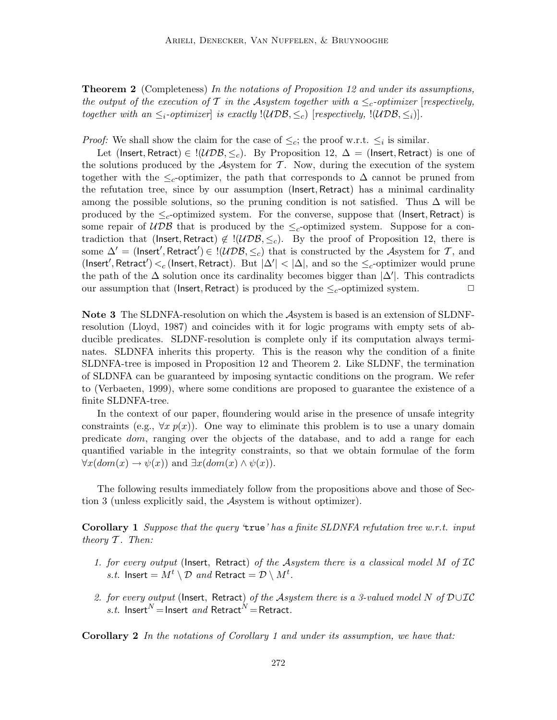**Theorem 2** (Completeness) In the notations of Proposition 12 and under its assumptions, the output of the execution of T in the Asystem together with a  $\leq_c$ -optimizer [respectively, together with an  $\leq_i$ -optimizer] is exactly  $!(\text{UDB}, \leq_c)$  [respectively,  $!(\text{UDB}, \leq_i)$ ].

*Proof:* We shall show the claim for the case of  $\leq_c$ ; the proof w.r.t.  $\leq_i$  is similar.

Let (Insert, Retract)  $\in$  !(UDB,  $\leq_c$ ). By Proposition 12,  $\Delta$  = (Insert, Retract) is one of the solutions produced by the Asystem for  $\mathcal T$ . Now, during the execution of the system together with the  $\leq_c$ -optimizer, the path that corresponds to  $\Delta$  cannot be pruned from the refutation tree, since by our assumption (Insert, Retract) has a minimal cardinality among the possible solutions, so the pruning condition is not satisfied. Thus  $\Delta$  will be produced by the  $\leq_c$ -optimized system. For the converse, suppose that (Insert, Retract) is some repair of  $\mathcal{UDB}$  that is produced by the  $\leq_c$ -optimized system. Suppose for a contradiction that (Insert, Retract)  $\notin$  !( $\mathcal{UDB}, \leq_c$ ). By the proof of Proposition 12, there is some  $\Delta' = ($ **Insert'**, Retract' $) \in I(UDB, \leq_c)$  that is constructed by the Asystem for  $\mathcal{T}$ , and (Insert', Retract')  $<_c$  (Insert, Retract). But  $|\Delta'| < |\Delta|$ , and so the  $\leq_c$ -optimizer would prune the path of the  $\Delta$  solution once its cardinality becomes bigger than  $|\Delta'|$ . This contradicts our assumption that (Insert, Retract) is produced by the  $\leq_c$ -optimized system.  $\Box$ 

Note 3 The SLDNFA-resolution on which the Asystem is based is an extension of SLDNFresolution (Lloyd, 1987) and coincides with it for logic programs with empty sets of abducible predicates. SLDNF-resolution is complete only if its computation always terminates. SLDNFA inherits this property. This is the reason why the condition of a finite SLDNFA-tree is imposed in Proposition 12 and Theorem 2. Like SLDNF, the termination of SLDNFA can be guaranteed by imposing syntactic conditions on the program. We refer to (Verbaeten, 1999), where some conditions are proposed to guarantee the existence of a finite SLDNFA-tree.

In the context of our paper, floundering would arise in the presence of unsafe integrity constraints (e.g.,  $\forall x \ p(x)$ ). One way to eliminate this problem is to use a unary domain predicate dom, ranging over the objects of the database, and to add a range for each quantified variable in the integrity constraints, so that we obtain formulae of the form  $\forall x (dom(x) \rightarrow \psi(x))$  and  $\exists x (dom(x) \land \psi(x))$ .

The following results immediately follow from the propositions above and those of Section 3 (unless explicitly said, the Asystem is without optimizer).

**Corollary 1** Suppose that the query 'true' has a finite SLDNFA refutation tree w.r.t. input theory  $T$ . Then:

- 1. for every output (Insert, Retract) of the Asystem there is a classical model  $M$  of  $IC$ s.t. Insert =  $M^t \setminus \mathcal{D}$  and Retract =  $\mathcal{D} \setminus M^t$ .
- 2. for every output (Insert, Retract) of the Asystem there is a 3-valued model N of D∪IC s.t. Insert<sup>N</sup> = Insert and Retract<sup>N</sup> = Retract.

**Corollary 2** In the notations of Corollary 1 and under its assumption, we have that: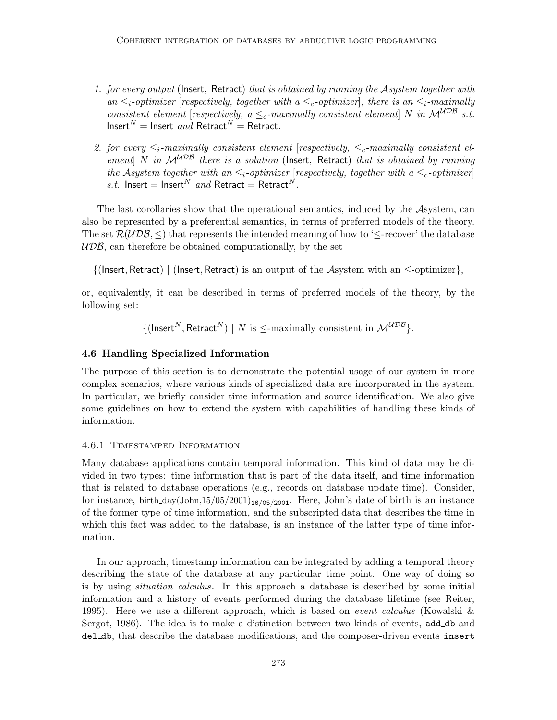- 1. for every output (Insert, Retract) that is obtained by running the Asystem together with an  $\leq_i$ -optimizer [respectively, together with a  $\leq_c$ -optimizer], there is an  $\leq_i$ -maximally consistent element [respectively,  $a \leq_c$ -maximally consistent element] N in  $\mathcal{M}^{UDB}$  s.t.  $\textsf{Insert}^N = \textsf{Insert} \textit{ and } \textsf{Retract}^N = \textsf{Retract}.$
- 2. for every  $\leq_i$ -maximally consistent element [respectively,  $\leq_c$ -maximally consistent element] N in  $\mathcal{M}^{UDB}$  there is a solution (Insert, Retract) that is obtained by running the Asystem together with an  $\leq_i$ -optimizer [respectively, together with a  $\leq_c$ -optimizer] s.t. Insert = Insert<sup>N</sup> and Retract = Retract<sup>N</sup>.

The last corollaries show that the operational semantics, induced by the Asystem, can also be represented by a preferential semantics, in terms of preferred models of the theory. The set  $\mathcal{R}(U\mathcal{D}\mathcal{B}, \leq)$  that represents the intended meaning of how to ' $\leq$ -recover' the database  $\mathcal{UDB}$ , can therefore be obtained computationally, by the set

 $\{$ (Insert, Retract) | (Insert, Retract) is an output of the Asystem with an  $\leq$ -optimizer},

or, equivalently, it can be described in terms of preferred models of the theory, by the following set:

 $\{(\text{Insert}^N, \text{Retract}^N) \mid N \text{ is } \leq \text{-maximally consistent in } \mathcal{M}^{\mathcal{UDB}}\}.$ 

# 4.6 Handling Specialized Information

The purpose of this section is to demonstrate the potential usage of our system in more complex scenarios, where various kinds of specialized data are incorporated in the system. In particular, we briefly consider time information and source identification. We also give some guidelines on how to extend the system with capabilities of handling these kinds of information.

# 4.6.1 Timestamped Information

Many database applications contain temporal information. This kind of data may be divided in two types: time information that is part of the data itself, and time information that is related to database operations (e.g., records on database update time). Consider, for instance, birth day(John,15/05/2001)<sub>16/05/2001</sub>. Here, John's date of birth is an instance of the former type of time information, and the subscripted data that describes the time in which this fact was added to the database, is an instance of the latter type of time information.

In our approach, timestamp information can be integrated by adding a temporal theory describing the state of the database at any particular time point. One way of doing so is by using situation calculus. In this approach a database is described by some initial information and a history of events performed during the database lifetime (see Reiter, 1995). Here we use a different approach, which is based on *event calculus* (Kowalski  $\&$ Sergot, 1986). The idea is to make a distinction between two kinds of events, add db and del db, that describe the database modifications, and the composer-driven events insert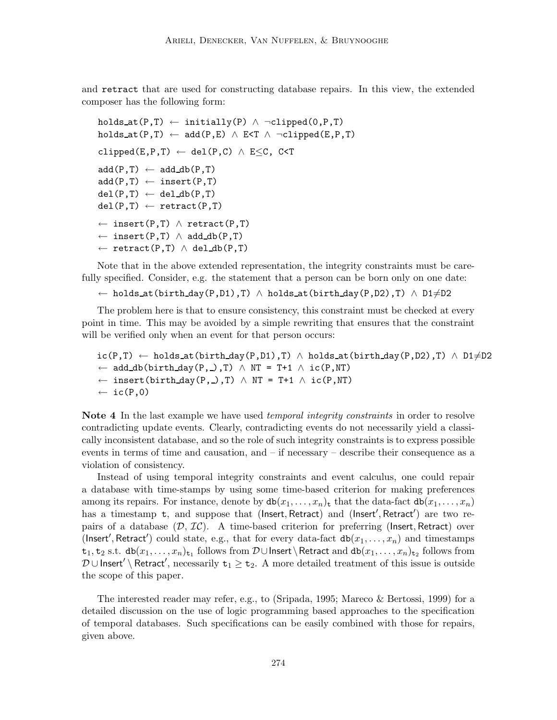and retract that are used for constructing database repairs. In this view, the extended composer has the following form:

```
holds at(P,T) \leftarrow \text{initially}(P) \wedge \neg \text{clipped}(0,P,T)holds_at(P,T) \leftarrow add(P,E) \wedge E<T \wedge \negclipped(E,P,T)
clipped(E, P, T) \leftarrow del(P, C) \wedge E \leq C, C<T
add(P,T) \leftarrow add_db(P,T)add(P,T) \leftarrow insert(P,T)del(P,T) \leftarrow del_d b(P,T)del(P,T) \leftarrow</math> retract(P,T)\leftarrow insert(P,T) \wedge retract(P,T)
\leftarrow insert(P,T) \land add_db(P,T)
\leftarrow retract(P,T) \land del_db(P,T)
```
Note that in the above extended representation, the integrity constraints must be carefully specified. Consider, e.g. the statement that a person can be born only on one date:

← holds\_at(birth\_day(P,D1),T) ∧ holds\_at(birth\_day(P,D2),T) ∧ D1 $\neq$ D2

The problem here is that to ensure consistency, this constraint must be checked at every point in time. This may be avoided by a simple rewriting that ensures that the constraint will be verified only when an event for that person occurs:

```
ic(P,T) \leftarrow holds_at(birth-day(P,D1),T) \wedge holds_at(birth-day(P,D2),T) \wedge D1 \neq D2← add_db(birth_day(P,_),T) \land NT = T+1 \land ic(P,NT)
← insert(birth_day(P,_),T) \land NT = T+1 \land ic(P,NT)
\leftarrow ic(P,0)
```
Note 4 In the last example we have used *temporal integrity constraints* in order to resolve contradicting update events. Clearly, contradicting events do not necessarily yield a classically inconsistent database, and so the role of such integrity constraints is to express possible events in terms of time and causation, and – if necessary – describe their consequence as a violation of consistency.

Instead of using temporal integrity constraints and event calculus, one could repair a database with time-stamps by using some time-based criterion for making preferences among its repairs. For instance, denote by  $db(x_1, \ldots, x_n)$  that the data-fact  $db(x_1, \ldots, x_n)$ has a timestamp t, and suppose that (Insert, Retract) and (Insert', Retract') are two repairs of a database  $(D, \mathcal{IC})$ . A time-based criterion for preferring (Insert, Retract) over (Insert', Retract') could state, e.g., that for every data-fact  $db(x_1,...,x_n)$  and timestamps t<sub>1</sub>, t<sub>2</sub> s.t. db $(x_1, \ldots, x_n)_{t_1}$  follows from  $\mathcal{D} \cup$ Insert\Retract and db $(x_1, \ldots, x_n)_{t_2}$  follows from  $\mathcal{D} \cup$ Insert' \ Retract', necessarily  $\mathtt{t_1} \geq \mathtt{t_2}.$  A more detailed treatment of this issue is outside the scope of this paper.

The interested reader may refer, e.g., to (Sripada, 1995; Mareco & Bertossi, 1999) for a detailed discussion on the use of logic programming based approaches to the specification of temporal databases. Such specifications can be easily combined with those for repairs, given above.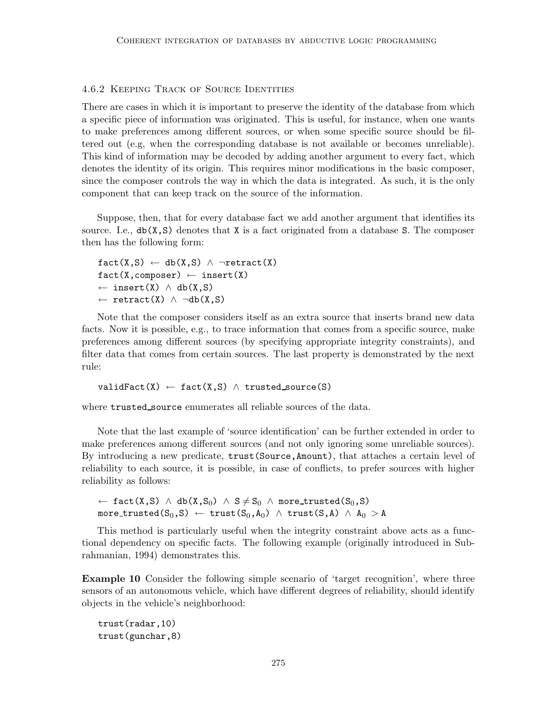# 4.6.2 Keeping Track of Source Identities

There are cases in which it is important to preserve the identity of the database from which a specific piece of information was originated. This is useful, for instance, when one wants to make preferences among different sources, or when some specific source should be filtered out (e.g, when the corresponding database is not available or becomes unreliable). This kind of information may be decoded by adding another argument to every fact, which denotes the identity of its origin. This requires minor modifications in the basic composer, since the composer controls the way in which the data is integrated. As such, it is the only component that can keep track on the source of the information.

Suppose, then, that for every database fact we add another argument that identifies its source. I.e.,  $db(X, S)$  denotes that X is a fact originated from a database S. The composer then has the following form:

```
fact(X, S) \leftarrow db(X, S) \wedge \neg retract(X)fact(X, composer) \leftarrow insert(X)\leftarrow insert(X) \wedge db(X,S)
← retract(X) \land \neg \text{db}(X, S)
```
Note that the composer considers itself as an extra source that inserts brand new data facts. Now it is possible, e.g., to trace information that comes from a specific source, make preferences among different sources (by specifying appropriate integrity constraints), and filter data that comes from certain sources. The last property is demonstrated by the next rule:

```
validFact(X) \leftarrow fact(X,S) \wedge trusted_source(S)
```
where trusted source enumerates all reliable sources of the data.

Note that the last example of 'source identification' can be further extended in order to make preferences among different sources (and not only ignoring some unreliable sources). By introducing a new predicate, trust(Source,Amount), that attaches a certain level of reliability to each source, it is possible, in case of conflicts, to prefer sources with higher reliability as follows:

← fact(X,S)  $\land$  db(X,S<sub>0</sub>)  $\land$  S  $\neq$  S<sub>0</sub>  $\land$  more\_trusted(S<sub>0</sub>,S) more\_trusted(S<sub>0</sub>,S) ← trust(S<sub>0</sub>,A<sub>0</sub>) ∧ trust(S,A) ∧ A<sub>0</sub> > A

This method is particularly useful when the integrity constraint above acts as a functional dependency on specific facts. The following example (originally introduced in Subrahmanian, 1994) demonstrates this.

Example 10 Consider the following simple scenario of 'target recognition', where three sensors of an autonomous vehicle, which have different degrees of reliability, should identify objects in the vehicle's neighborhood:

trust(radar,10) trust(gunchar,8)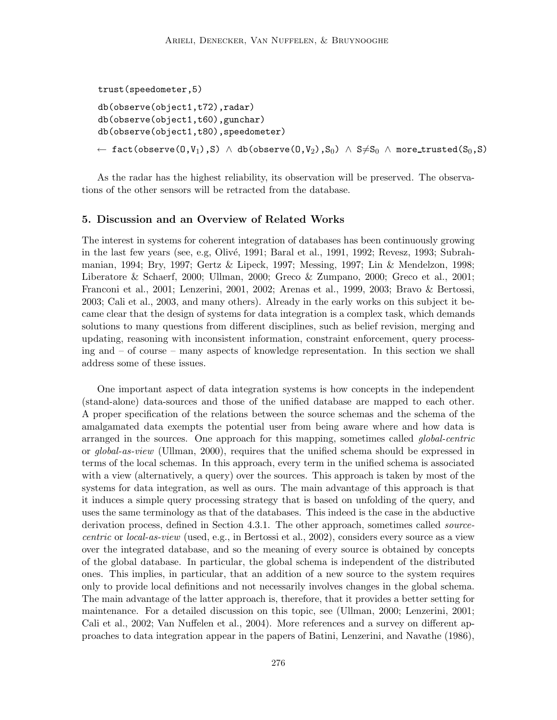```
trust(speedometer,5)
db(observe(object1,t72),radar)
db(observe(object1,t60),gunchar)
db(observe(object1,t80),speedometer)
← fact(observe(0,V<sub>1</sub>),S) \land db(observe(0,V<sub>2</sub>),S<sub>0</sub>) \land S≠S<sub>0</sub> \land more_trusted(S<sub>0</sub>,S)
```
As the radar has the highest reliability, its observation will be preserved. The observations of the other sensors will be retracted from the database.

# 5. Discussion and an Overview of Related Works

The interest in systems for coherent integration of databases has been continuously growing in the last few years (see, e.g, Olivé, 1991; Baral et al., 1991, 1992; Revesz, 1993; Subrahmanian, 1994; Bry, 1997; Gertz & Lipeck, 1997; Messing, 1997; Lin & Mendelzon, 1998; Liberatore & Schaerf, 2000; Ullman, 2000; Greco & Zumpano, 2000; Greco et al., 2001; Franconi et al., 2001; Lenzerini, 2001, 2002; Arenas et al., 1999, 2003; Bravo & Bertossi, 2003; Cali et al., 2003, and many others). Already in the early works on this subject it became clear that the design of systems for data integration is a complex task, which demands solutions to many questions from different disciplines, such as belief revision, merging and updating, reasoning with inconsistent information, constraint enforcement, query processing and – of course – many aspects of knowledge representation. In this section we shall address some of these issues.

One important aspect of data integration systems is how concepts in the independent (stand-alone) data-sources and those of the unified database are mapped to each other. A proper specification of the relations between the source schemas and the schema of the amalgamated data exempts the potential user from being aware where and how data is arranged in the sources. One approach for this mapping, sometimes called *global-centric* or global-as-view (Ullman, 2000), requires that the unified schema should be expressed in terms of the local schemas. In this approach, every term in the unified schema is associated with a view (alternatively, a query) over the sources. This approach is taken by most of the systems for data integration, as well as ours. The main advantage of this approach is that it induces a simple query processing strategy that is based on unfolding of the query, and uses the same terminology as that of the databases. This indeed is the case in the abductive derivation process, defined in Section 4.3.1. The other approach, sometimes called *source*centric or local-as-view (used, e.g., in Bertossi et al., 2002), considers every source as a view over the integrated database, and so the meaning of every source is obtained by concepts of the global database. In particular, the global schema is independent of the distributed ones. This implies, in particular, that an addition of a new source to the system requires only to provide local definitions and not necessarily involves changes in the global schema. The main advantage of the latter approach is, therefore, that it provides a better setting for maintenance. For a detailed discussion on this topic, see (Ullman, 2000; Lenzerini, 2001; Cali et al., 2002; Van Nuffelen et al., 2004). More references and a survey on different approaches to data integration appear in the papers of Batini, Lenzerini, and Navathe (1986),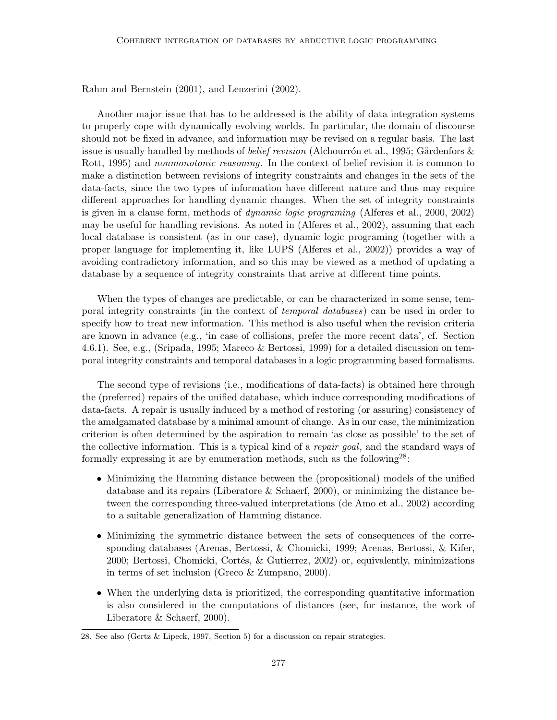Rahm and Bernstein (2001), and Lenzerini (2002).

Another major issue that has to be addressed is the ability of data integration systems to properly cope with dynamically evolving worlds. In particular, the domain of discourse should not be fixed in advance, and information may be revised on a regular basis. The last issue is usually handled by methods of *belief revision* (Alchourron et al., 1995; Gärdenfors  $\&$ Rott, 1995) and *nonmonotonic reasoning*. In the context of belief revision it is common to make a distinction between revisions of integrity constraints and changes in the sets of the data-facts, since the two types of information have different nature and thus may require different approaches for handling dynamic changes. When the set of integrity constraints is given in a clause form, methods of dynamic logic programing (Alferes et al., 2000, 2002) may be useful for handling revisions. As noted in (Alferes et al., 2002), assuming that each local database is consistent (as in our case), dynamic logic programing (together with a proper language for implementing it, like LUPS (Alferes et al., 2002)) provides a way of avoiding contradictory information, and so this may be viewed as a method of updating a database by a sequence of integrity constraints that arrive at different time points.

When the types of changes are predictable, or can be characterized in some sense, temporal integrity constraints (in the context of temporal databases) can be used in order to specify how to treat new information. This method is also useful when the revision criteria are known in advance (e.g., 'in case of collisions, prefer the more recent data', cf. Section 4.6.1). See, e.g., (Sripada, 1995; Mareco & Bertossi, 1999) for a detailed discussion on temporal integrity constraints and temporal databases in a logic programming based formalisms.

The second type of revisions (i.e., modifications of data-facts) is obtained here through the (preferred) repairs of the unified database, which induce corresponding modifications of data-facts. A repair is usually induced by a method of restoring (or assuring) consistency of the amalgamated database by a minimal amount of change. As in our case, the minimization criterion is often determined by the aspiration to remain 'as close as possible' to the set of the collective information. This is a typical kind of a *repair goal*, and the standard ways of formally expressing it are by enumeration methods, such as the following<sup>28</sup>:

- Minimizing the Hamming distance between the (propositional) models of the unified database and its repairs (Liberatore & Schaerf, 2000), or minimizing the distance between the corresponding three-valued interpretations (de Amo et al., 2002) according to a suitable generalization of Hamming distance.
- Minimizing the symmetric distance between the sets of consequences of the corresponding databases (Arenas, Bertossi, & Chomicki, 1999; Arenas, Bertossi, & Kifer, 2000; Bertossi, Chomicki, Cortés, & Gutierrez, 2002) or, equivalently, minimizations in terms of set inclusion (Greco & Zumpano, 2000).
- When the underlying data is prioritized, the corresponding quantitative information is also considered in the computations of distances (see, for instance, the work of Liberatore & Schaerf, 2000).

<sup>28.</sup> See also (Gertz & Lipeck, 1997, Section 5) for a discussion on repair strategies.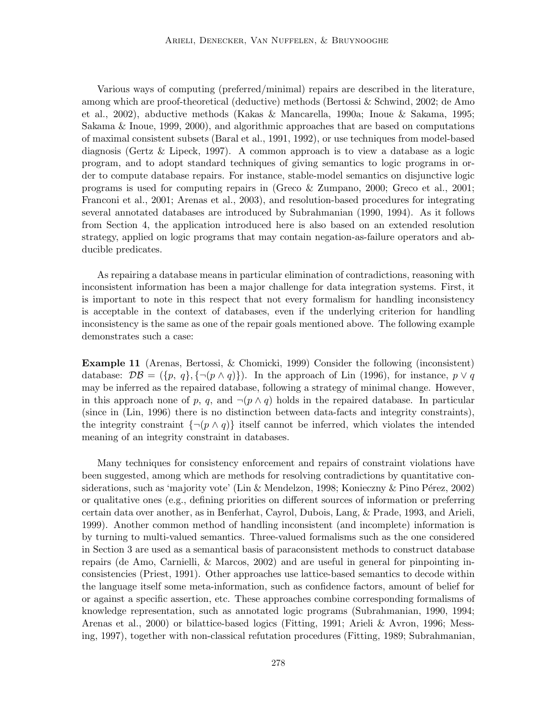Various ways of computing (preferred/minimal) repairs are described in the literature, among which are proof-theoretical (deductive) methods (Bertossi & Schwind, 2002; de Amo et al., 2002), abductive methods (Kakas & Mancarella, 1990a; Inoue & Sakama, 1995; Sakama & Inoue, 1999, 2000), and algorithmic approaches that are based on computations of maximal consistent subsets (Baral et al., 1991, 1992), or use techniques from model-based diagnosis (Gertz & Lipeck, 1997). A common approach is to view a database as a logic program, and to adopt standard techniques of giving semantics to logic programs in order to compute database repairs. For instance, stable-model semantics on disjunctive logic programs is used for computing repairs in (Greco & Zumpano, 2000; Greco et al., 2001; Franconi et al., 2001; Arenas et al., 2003), and resolution-based procedures for integrating several annotated databases are introduced by Subrahmanian (1990, 1994). As it follows from Section 4, the application introduced here is also based on an extended resolution strategy, applied on logic programs that may contain negation-as-failure operators and abducible predicates.

As repairing a database means in particular elimination of contradictions, reasoning with inconsistent information has been a major challenge for data integration systems. First, it is important to note in this respect that not every formalism for handling inconsistency is acceptable in the context of databases, even if the underlying criterion for handling inconsistency is the same as one of the repair goals mentioned above. The following example demonstrates such a case:

Example 11 (Arenas, Bertossi, & Chomicki, 1999) Consider the following (inconsistent) database:  $\mathcal{DB} = (\{p, q\}, \{\neg(p \wedge q)\})$ . In the approach of Lin (1996), for instance,  $p \vee q$ may be inferred as the repaired database, following a strategy of minimal change. However, in this approach none of p, q, and  $\neg (p \land q)$  holds in the repaired database. In particular (since in (Lin, 1996) there is no distinction between data-facts and integrity constraints), the integrity constraint  $\{\neg(p \land q)\}\$ itself cannot be inferred, which violates the intended meaning of an integrity constraint in databases.

Many techniques for consistency enforcement and repairs of constraint violations have been suggested, among which are methods for resolving contradictions by quantitative considerations, such as 'majority vote' (Lin & Mendelzon, 1998; Konieczny & Pino Pérez, 2002) or qualitative ones (e.g., defining priorities on different sources of information or preferring certain data over another, as in Benferhat, Cayrol, Dubois, Lang, & Prade, 1993, and Arieli, 1999). Another common method of handling inconsistent (and incomplete) information is by turning to multi-valued semantics. Three-valued formalisms such as the one considered in Section 3 are used as a semantical basis of paraconsistent methods to construct database repairs (de Amo, Carnielli, & Marcos, 2002) and are useful in general for pinpointing inconsistencies (Priest, 1991). Other approaches use lattice-based semantics to decode within the language itself some meta-information, such as confidence factors, amount of belief for or against a specific assertion, etc. These approaches combine corresponding formalisms of knowledge representation, such as annotated logic programs (Subrahmanian, 1990, 1994; Arenas et al., 2000) or bilattice-based logics (Fitting, 1991; Arieli & Avron, 1996; Messing, 1997), together with non-classical refutation procedures (Fitting, 1989; Subrahmanian,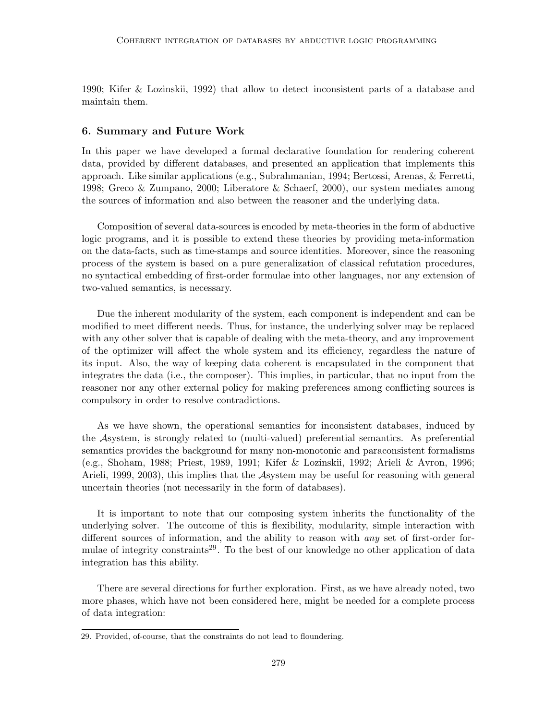1990; Kifer & Lozinskii, 1992) that allow to detect inconsistent parts of a database and maintain them.

# 6. Summary and Future Work

In this paper we have developed a formal declarative foundation for rendering coherent data, provided by different databases, and presented an application that implements this approach. Like similar applications (e.g., Subrahmanian, 1994; Bertossi, Arenas, & Ferretti, 1998; Greco & Zumpano, 2000; Liberatore & Schaerf, 2000), our system mediates among the sources of information and also between the reasoner and the underlying data.

Composition of several data-sources is encoded by meta-theories in the form of abductive logic programs, and it is possible to extend these theories by providing meta-information on the data-facts, such as time-stamps and source identities. Moreover, since the reasoning process of the system is based on a pure generalization of classical refutation procedures, no syntactical embedding of first-order formulae into other languages, nor any extension of two-valued semantics, is necessary.

Due the inherent modularity of the system, each component is independent and can be modified to meet different needs. Thus, for instance, the underlying solver may be replaced with any other solver that is capable of dealing with the meta-theory, and any improvement of the optimizer will affect the whole system and its efficiency, regardless the nature of its input. Also, the way of keeping data coherent is encapsulated in the component that integrates the data (i.e., the composer). This implies, in particular, that no input from the reasoner nor any other external policy for making preferences among conflicting sources is compulsory in order to resolve contradictions.

As we have shown, the operational semantics for inconsistent databases, induced by the Asystem, is strongly related to (multi-valued) preferential semantics. As preferential semantics provides the background for many non-monotonic and paraconsistent formalisms (e.g., Shoham, 1988; Priest, 1989, 1991; Kifer & Lozinskii, 1992; Arieli & Avron, 1996; Arieli, 1999, 2003), this implies that the Asystem may be useful for reasoning with general uncertain theories (not necessarily in the form of databases).

It is important to note that our composing system inherits the functionality of the underlying solver. The outcome of this is flexibility, modularity, simple interaction with different sources of information, and the ability to reason with any set of first-order formulae of integrity constraints<sup>29</sup>. To the best of our knowledge no other application of data integration has this ability.

There are several directions for further exploration. First, as we have already noted, two more phases, which have not been considered here, might be needed for a complete process of data integration:

<sup>29.</sup> Provided, of-course, that the constraints do not lead to floundering.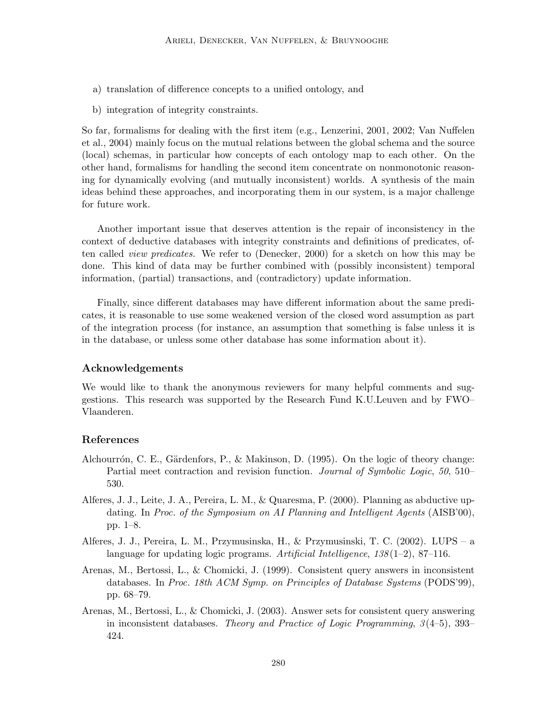- a) translation of difference concepts to a unified ontology, and
- b) integration of integrity constraints.

So far, formalisms for dealing with the first item (e.g., Lenzerini, 2001, 2002; Van Nuffelen et al., 2004) mainly focus on the mutual relations between the global schema and the source (local) schemas, in particular how concepts of each ontology map to each other. On the other hand, formalisms for handling the second item concentrate on nonmonotonic reasoning for dynamically evolving (and mutually inconsistent) worlds. A synthesis of the main ideas behind these approaches, and incorporating them in our system, is a major challenge for future work.

Another important issue that deserves attention is the repair of inconsistency in the context of deductive databases with integrity constraints and definitions of predicates, often called view predicates. We refer to (Denecker, 2000) for a sketch on how this may be done. This kind of data may be further combined with (possibly inconsistent) temporal information, (partial) transactions, and (contradictory) update information.

Finally, since different databases may have different information about the same predicates, it is reasonable to use some weakened version of the closed word assumption as part of the integration process (for instance, an assumption that something is false unless it is in the database, or unless some other database has some information about it).

# Acknowledgements

We would like to thank the anonymous reviewers for many helpful comments and suggestions. This research was supported by the Research Fund K.U.Leuven and by FWO– Vlaanderen.

# References

- Alchourrón, C. E., Gärdenfors, P., & Makinson, D. (1995). On the logic of theory change: Partial meet contraction and revision function. Journal of Symbolic Logic, 50, 510– 530.
- Alferes, J. J., Leite, J. A., Pereira, L. M., & Quaresma, P. (2000). Planning as abductive updating. In Proc. of the Symposium on AI Planning and Intelligent Agents (AISB'00), pp. 1–8.
- Alferes, J. J., Pereira, L. M., Przymusinska, H., & Przymusinski, T. C. (2002). LUPS a language for updating logic programs. Artificial Intelligence,  $138(1-2)$ , 87-116.
- Arenas, M., Bertossi, L., & Chomicki, J. (1999). Consistent query answers in inconsistent databases. In Proc. 18th ACM Symp. on Principles of Database Systems (PODS'99), pp. 68–79.
- Arenas, M., Bertossi, L., & Chomicki, J. (2003). Answer sets for consistent query answering in inconsistent databases. Theory and Practice of Logic Programming, 3(4–5), 393– 424.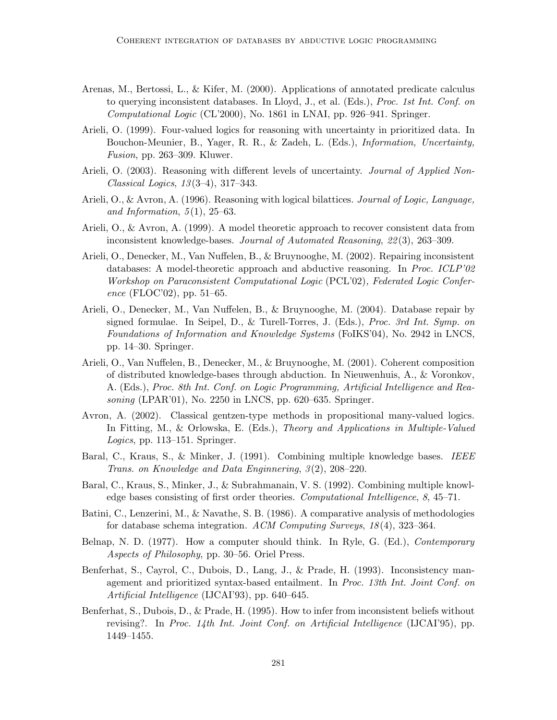- Arenas, M., Bertossi, L., & Kifer, M. (2000). Applications of annotated predicate calculus to querying inconsistent databases. In Lloyd, J., et al. (Eds.), Proc. 1st Int. Conf. on Computational Logic (CL'2000), No. 1861 in LNAI, pp. 926–941. Springer.
- Arieli, O. (1999). Four-valued logics for reasoning with uncertainty in prioritized data. In Bouchon-Meunier, B., Yager, R. R., & Zadeh, L. (Eds.), Information, Uncertainty, Fusion, pp. 263–309. Kluwer.
- Arieli, O. (2003). Reasoning with different levels of uncertainty. *Journal of Applied Non-*Classical Logics, 13(3–4), 317–343.
- Arieli, O., & Avron, A. (1996). Reasoning with logical bilattices. Journal of Logic, Language, and Information,  $5(1)$ ,  $25-63$ .
- Arieli, O., & Avron, A. (1999). A model theoretic approach to recover consistent data from inconsistent knowledge-bases. Journal of Automated Reasoning, 22(3), 263–309.
- Arieli, O., Denecker, M., Van Nuffelen, B., & Bruynooghe, M. (2002). Repairing inconsistent databases: A model-theoretic approach and abductive reasoning. In Proc. ICLP'02 Workshop on Paraconsistent Computational Logic (PCL'02), Federated Logic Conference (FLOC'02), pp. 51–65.
- Arieli, O., Denecker, M., Van Nuffelen, B., & Bruynooghe, M. (2004). Database repair by signed formulae. In Seipel, D., & Turell-Torres, J. (Eds.), Proc. 3rd Int. Symp. on Foundations of Information and Knowledge Systems (FoIKS'04), No. 2942 in LNCS, pp. 14–30. Springer.
- Arieli, O., Van Nuffelen, B., Denecker, M., & Bruynooghe, M. (2001). Coherent composition of distributed knowledge-bases through abduction. In Nieuwenhuis, A., & Voronkov, A. (Eds.), Proc. 8th Int. Conf. on Logic Programming, Artificial Intelligence and Reasoning (LPAR'01), No. 2250 in LNCS, pp. 620–635. Springer.
- Avron, A. (2002). Classical gentzen-type methods in propositional many-valued logics. In Fitting, M., & Orlowska, E. (Eds.), Theory and Applications in Multiple-Valued Logics, pp. 113–151. Springer.
- Baral, C., Kraus, S., & Minker, J. (1991). Combining multiple knowledge bases. IEEE Trans. on Knowledge and Data Enginnering, 3(2), 208–220.
- Baral, C., Kraus, S., Minker, J., & Subrahmanain, V. S. (1992). Combining multiple knowledge bases consisting of first order theories. Computational Intelligence, 8, 45–71.
- Batini, C., Lenzerini, M., & Navathe, S. B. (1986). A comparative analysis of methodologies for database schema integration. ACM Computing Surveys, 18(4), 323–364.
- Belnap, N. D. (1977). How a computer should think. In Ryle, G. (Ed.), Contemporary Aspects of Philosophy, pp. 30–56. Oriel Press.
- Benferhat, S., Cayrol, C., Dubois, D., Lang, J., & Prade, H. (1993). Inconsistency management and prioritized syntax-based entailment. In Proc. 13th Int. Joint Conf. on Artificial Intelligence (IJCAI'93), pp. 640–645.
- Benferhat, S., Dubois, D., & Prade, H. (1995). How to infer from inconsistent beliefs without revising?. In Proc. 14th Int. Joint Conf. on Artificial Intelligence (IJCAI'95), pp. 1449–1455.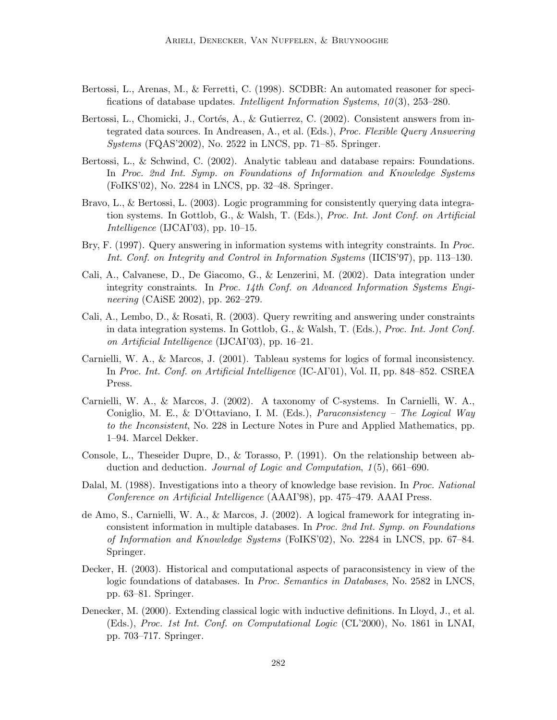- Bertossi, L., Arenas, M., & Ferretti, C. (1998). SCDBR: An automated reasoner for specifications of database updates. Intelligent Information Systems, 10(3), 253–280.
- Bertossi, L., Chomicki, J., Cortés, A., & Gutierrez, C. (2002). Consistent answers from integrated data sources. In Andreasen, A., et al. (Eds.), Proc. Flexible Query Answering Systems (FQAS'2002), No. 2522 in LNCS, pp. 71–85. Springer.
- Bertossi, L., & Schwind, C. (2002). Analytic tableau and database repairs: Foundations. In Proc. 2nd Int. Symp. on Foundations of Information and Knowledge Systems (FoIKS'02), No. 2284 in LNCS, pp. 32–48. Springer.
- Bravo, L., & Bertossi, L. (2003). Logic programming for consistently querying data integration systems. In Gottlob, G., & Walsh, T. (Eds.), Proc. Int. Jont Conf. on Artificial Intelligence (IJCAI'03), pp. 10–15.
- Bry, F. (1997). Query answering in information systems with integrity constraints. In *Proc.* Int. Conf. on Integrity and Control in Information Systems (IICIS'97), pp. 113–130.
- Cali, A., Calvanese, D., De Giacomo, G., & Lenzerini, M. (2002). Data integration under integrity constraints. In Proc. 14th Conf. on Advanced Information Systems Engineering (CAiSE 2002), pp. 262–279.
- Cali, A., Lembo, D., & Rosati, R. (2003). Query rewriting and answering under constraints in data integration systems. In Gottlob, G., & Walsh, T. (Eds.), Proc. Int. Jont Conf. on Artificial Intelligence (IJCAI'03), pp. 16–21.
- Carnielli, W. A., & Marcos, J. (2001). Tableau systems for logics of formal inconsistency. In Proc. Int. Conf. on Artificial Intelligence (IC-AI'01), Vol. II, pp. 848–852. CSREA Press.
- Carnielli, W. A., & Marcos, J. (2002). A taxonomy of C-systems. In Carnielli, W. A., Coniglio, M. E., & D'Ottaviano, I. M. (Eds.), Paraconsistency – The Logical Way to the Inconsistent, No. 228 in Lecture Notes in Pure and Applied Mathematics, pp. 1–94. Marcel Dekker.
- Console, L., Theseider Dupre, D., & Torasso, P. (1991). On the relationship between abduction and deduction. Journal of Logic and Computation, 1(5), 661–690.
- Dalal, M. (1988). Investigations into a theory of knowledge base revision. In *Proc. National* Conference on Artificial Intelligence (AAAI'98), pp. 475–479. AAAI Press.
- de Amo, S., Carnielli, W. A., & Marcos, J. (2002). A logical framework for integrating inconsistent information in multiple databases. In Proc. 2nd Int. Symp. on Foundations of Information and Knowledge Systems (FoIKS'02), No. 2284 in LNCS, pp. 67–84. Springer.
- Decker, H. (2003). Historical and computational aspects of paraconsistency in view of the logic foundations of databases. In Proc. Semantics in Databases, No. 2582 in LNCS, pp. 63–81. Springer.
- Denecker, M. (2000). Extending classical logic with inductive definitions. In Lloyd, J., et al. (Eds.), Proc. 1st Int. Conf. on Computational Logic (CL'2000), No. 1861 in LNAI, pp. 703–717. Springer.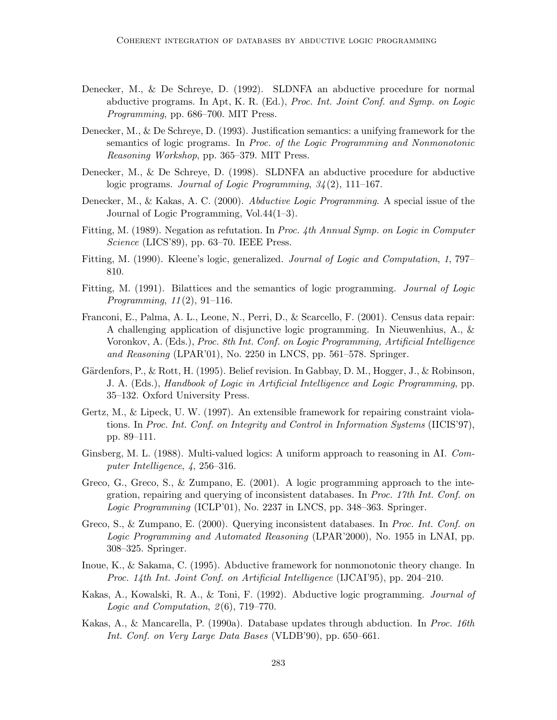- Denecker, M., & De Schreye, D. (1992). SLDNFA an abductive procedure for normal abductive programs. In Apt, K. R. (Ed.), Proc. Int. Joint Conf. and Symp. on Logic Programming, pp. 686–700. MIT Press.
- Denecker, M., & De Schreye, D. (1993). Justification semantics: a unifying framework for the semantics of logic programs. In Proc. of the Logic Programming and Nonmonotonic Reasoning Workshop, pp. 365–379. MIT Press.
- Denecker, M., & De Schreye, D. (1998). SLDNFA an abductive procedure for abductive logic programs. Journal of Logic Programming,  $34(2)$ , 111–167.
- Denecker, M., & Kakas, A. C. (2000). Abductive Logic Programming. A special issue of the Journal of Logic Programming, Vol.44(1–3).
- Fitting, M. (1989). Negation as refutation. In Proc. 4th Annual Symp. on Logic in Computer Science (LICS'89), pp. 63–70. IEEE Press.
- Fitting, M. (1990). Kleene's logic, generalized. Journal of Logic and Computation, 1, 797– 810.
- Fitting, M. (1991). Bilattices and the semantics of logic programming. *Journal of Logic Programming, 11(2), 91–116.*
- Franconi, E., Palma, A. L., Leone, N., Perri, D., & Scarcello, F. (2001). Census data repair: A challenging application of disjunctive logic programming. In Nieuwenhius, A., & Voronkov, A. (Eds.), Proc. 8th Int. Conf. on Logic Programming, Artificial Intelligence and Reasoning (LPAR'01), No. 2250 in LNCS, pp. 561–578. Springer.
- Gärdenfors, P., & Rott, H. (1995). Belief revision. In Gabbay, D. M., Hogger, J., & Robinson, J. A. (Eds.), Handbook of Logic in Artificial Intelligence and Logic Programming, pp. 35–132. Oxford University Press.
- Gertz, M., & Lipeck, U. W. (1997). An extensible framework for repairing constraint violations. In Proc. Int. Conf. on Integrity and Control in Information Systems (IICIS'97), pp. 89–111.
- Ginsberg, M. L. (1988). Multi-valued logics: A uniform approach to reasoning in AI. Computer Intelligence, 4, 256–316.
- Greco, G., Greco, S., & Zumpano, E. (2001). A logic programming approach to the integration, repairing and querying of inconsistent databases. In Proc. 17th Int. Conf. on Logic Programming (ICLP'01), No. 2237 in LNCS, pp. 348–363. Springer.
- Greco, S., & Zumpano, E. (2000). Querying inconsistent databases. In Proc. Int. Conf. on Logic Programming and Automated Reasoning (LPAR'2000), No. 1955 in LNAI, pp. 308–325. Springer.
- Inoue, K., & Sakama, C. (1995). Abductive framework for nonmonotonic theory change. In Proc. 14th Int. Joint Conf. on Artificial Intelligence (IJCAI'95), pp. 204–210.
- Kakas, A., Kowalski, R. A., & Toni, F. (1992). Abductive logic programming. Journal of Logic and Computation, 2(6), 719–770.
- Kakas, A., & Mancarella, P. (1990a). Database updates through abduction. In Proc. 16th Int. Conf. on Very Large Data Bases (VLDB'90), pp. 650–661.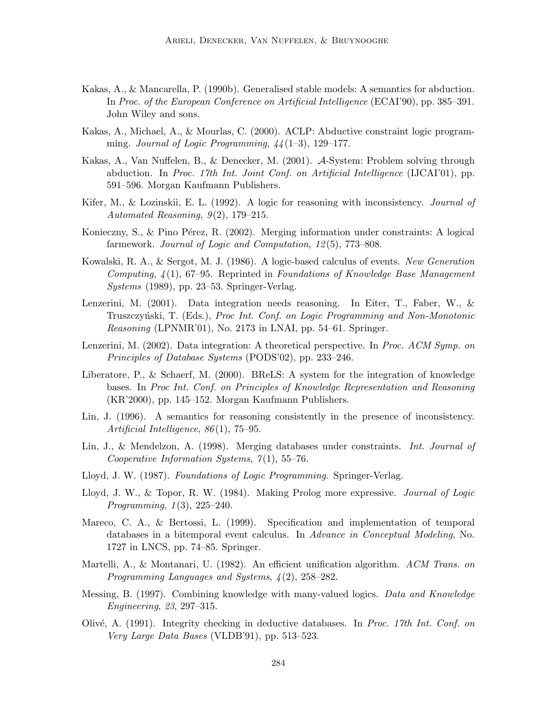- Kakas, A., & Mancarella, P. (1990b). Generalised stable models: A semantics for abduction. In Proc. of the European Conference on Artificial Intelligence (ECAI'90), pp. 385–391. John Wiley and sons.
- Kakas, A., Michael, A., & Mourlas, C. (2000). ACLP: Abductive constraint logic programming. Journal of Logic Programming,  $\frac{1}{4}(1-3)$ , 129-177.
- Kakas, A., Van Nuffelen, B., & Denecker, M. (2001). A-System: Problem solving through abduction. In Proc. 17th Int. Joint Conf. on Artificial Intelligence (IJCAI'01), pp. 591–596. Morgan Kaufmann Publishers.
- Kifer, M., & Lozinskii, E. L. (1992). A logic for reasoning with inconsistency. *Journal of* Automated Reasoning, 9(2), 179–215.
- Konieczny, S., & Pino Pérez, R. (2002). Merging information under constraints: A logical farmework. Journal of Logic and Computation, 12(5), 773–808.
- Kowalski, R. A., & Sergot, M. J. (1986). A logic-based calculus of events. New Generation Computing,  $4(1)$ , 67–95. Reprinted in Foundations of Knowledge Base Management Systems (1989), pp. 23–53. Springer-Verlag.
- Lenzerini, M. (2001). Data integration needs reasoning. In Eiter, T., Faber, W., & Truszczyński, T. (Eds.), Proc Int. Conf. on Logic Programming and Non-Monotonic Reasoning (LPNMR'01), No. 2173 in LNAI, pp. 54–61. Springer.
- Lenzerini, M. (2002). Data integration: A theoretical perspective. In Proc. ACM Symp. on Principles of Database Systems (PODS'02), pp. 233–246.
- Liberatore, P., & Schaerf, M. (2000). BReLS: A system for the integration of knowledge bases. In Proc Int. Conf. on Principles of Knowledge Representation and Reasoning (KR'2000), pp. 145–152. Morgan Kaufmann Publishers.
- Lin, J. (1996). A semantics for reasoning consistently in the presence of inconsistency. Artificial Intelligence, 86(1), 75–95.
- Lin, J., & Mendelzon, A. (1998). Merging databases under constraints. Int. Journal of Cooperative Information Systems, 7(1), 55–76.
- Lloyd, J. W. (1987). Foundations of Logic Programming. Springer-Verlag.
- Lloyd, J. W., & Topor, R. W. (1984). Making Prolog more expressive. Journal of Logic Programming, 1(3), 225–240.
- Mareco, C. A., & Bertossi, L. (1999). Specification and implementation of temporal databases in a bitemporal event calculus. In Advance in Conceptual Modeling, No. 1727 in LNCS, pp. 74–85. Springer.
- Martelli, A., & Montanari, U. (1982). An efficient unification algorithm. ACM Trans. on Programming Languages and Systems, 4(2), 258–282.
- Messing, B. (1997). Combining knowledge with many-valued logics. Data and Knowledge Engineering, 23, 297–315.
- Olivé, A. (1991). Integrity checking in deductive databases. In Proc. 17th Int. Conf. on Very Large Data Bases (VLDB'91), pp. 513–523.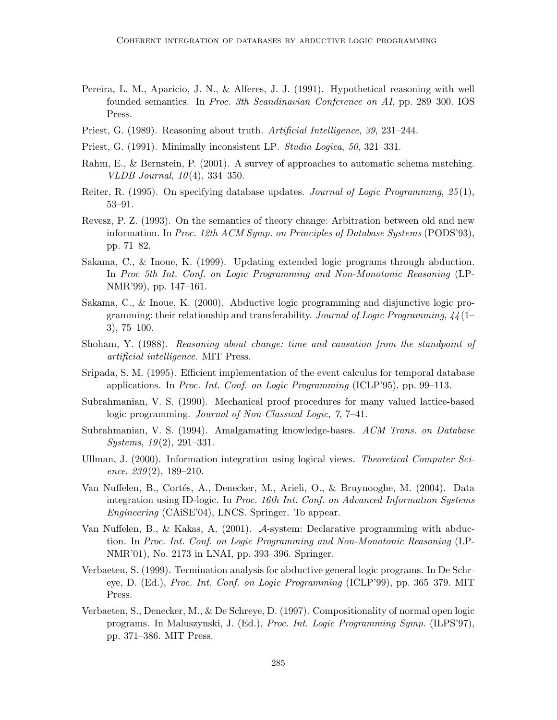- Pereira, L. M., Aparicio, J. N., & Alferes, J. J. (1991). Hypothetical reasoning with well founded semantics. In Proc. 3th Scandinavian Conference on AI, pp. 289–300. IOS Press.
- Priest, G. (1989). Reasoning about truth. Artificial Intelligence, 39, 231–244.
- Priest, G. (1991). Minimally inconsistent LP. Studia Logica, 50, 321–331.
- Rahm, E., & Bernstein, P. (2001). A survey of approaches to automatic schema matching. VLDB Journal, 10(4), 334–350.
- Reiter, R. (1995). On specifying database updates. Journal of Logic Programming,  $25(1)$ , 53–91.
- Revesz, P. Z. (1993). On the semantics of theory change: Arbitration between old and new information. In Proc. 12th ACM Symp. on Principles of Database Systems (PODS'93), pp. 71–82.
- Sakama, C., & Inoue, K. (1999). Updating extended logic programs through abduction. In Proc 5th Int. Conf. on Logic Programming and Non-Monotonic Reasoning (LP-NMR'99), pp. 147–161.
- Sakama, C., & Inoue, K. (2000). Abductive logic programming and disjunctive logic programming: their relationship and transferability. Journal of Logic Programming,  $44(1-$ 3), 75–100.
- Shoham, Y. (1988). Reasoning about change: time and causation from the standpoint of artificial intelligence. MIT Press.
- Sripada, S. M. (1995). Efficient implementation of the event calculus for temporal database applications. In Proc. Int. Conf. on Logic Programming (ICLP'95), pp. 99–113.
- Subrahmanian, V. S. (1990). Mechanical proof procedures for many valued lattice-based logic programming. Journal of Non-Classical Logic, 7, 7–41.
- Subrahmanian, V. S. (1994). Amalgamating knowledge-bases. ACM Trans. on Database Systems, 19(2), 291–331.
- Ullman, J. (2000). Information integration using logical views. Theoretical Computer Science,  $239(2)$ , 189-210.
- Van Nuffelen, B., Cortés, A., Denecker, M., Arieli, O., & Bruynooghe, M. (2004). Data integration using ID-logic. In Proc. 16th Int. Conf. on Advanced Information Systems Engineering (CAiSE'04), LNCS. Springer. To appear.
- Van Nuffelen, B., & Kakas, A. (2001). A-system: Declarative programming with abduction. In Proc. Int. Conf. on Logic Programming and Non-Monotonic Reasoning (LP-NMR'01), No. 2173 in LNAI, pp. 393–396. Springer.
- Verbaeten, S. (1999). Termination analysis for abductive general logic programs. In De Schreye, D. (Ed.), Proc. Int. Conf. on Logic Programming (ICLP'99), pp. 365–379. MIT Press.
- Verbaeten, S., Denecker, M., & De Schreye, D. (1997). Compositionality of normal open logic programs. In Maluszynski, J. (Ed.), Proc. Int. Logic Programming Symp. (ILPS'97), pp. 371–386. MIT Press.